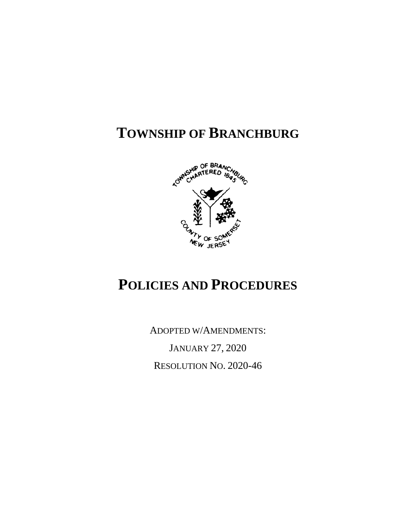# **TOWNSHIP OF BRANCHBURG**



# **POLICIES AND PROCEDURES**

ADOPTED W/AMENDMENTS:

JANUARY 27, 2020 RESOLUTION NO. 2020-46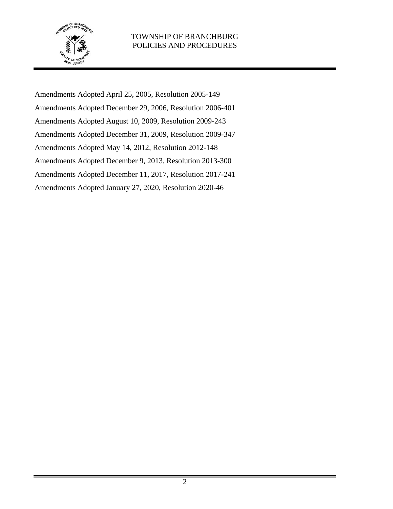

Amendments Adopted April 25, 2005, Resolution 2005-149 Amendments Adopted December 29, 2006, Resolution 2006-401 Amendments Adopted August 10, 2009, Resolution 2009-243 Amendments Adopted December 31, 2009, Resolution 2009-347 Amendments Adopted May 14, 2012, Resolution 2012-148 Amendments Adopted December 9, 2013, Resolution 2013-300 Amendments Adopted December 11, 2017, Resolution 2017-241 Amendments Adopted January 27, 2020, Resolution 2020-46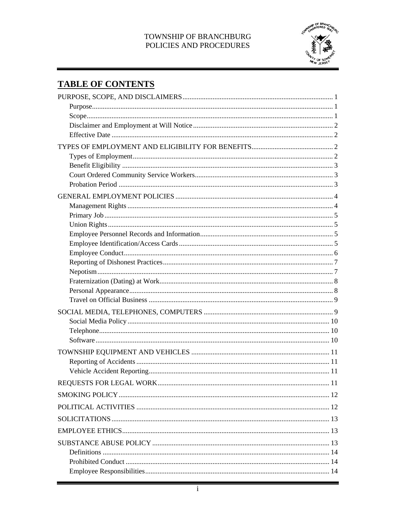

# **TABLE OF CONTENTS**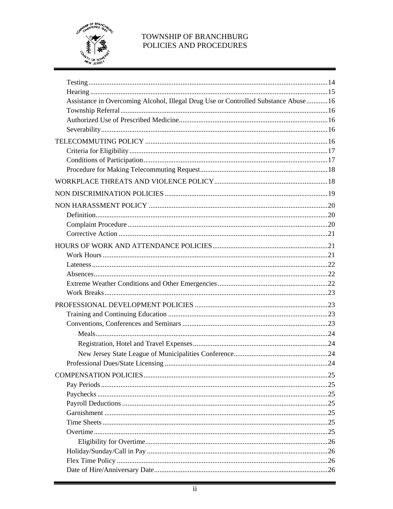

| Assistance in Overcoming Alcohol, Illegal Drug Use or Controlled Substance Abuse 16 |  |
|-------------------------------------------------------------------------------------|--|
|                                                                                     |  |
|                                                                                     |  |
|                                                                                     |  |
|                                                                                     |  |
|                                                                                     |  |
|                                                                                     |  |
|                                                                                     |  |
|                                                                                     |  |
|                                                                                     |  |
|                                                                                     |  |
|                                                                                     |  |
|                                                                                     |  |
|                                                                                     |  |
|                                                                                     |  |
|                                                                                     |  |
|                                                                                     |  |
|                                                                                     |  |
|                                                                                     |  |
|                                                                                     |  |
|                                                                                     |  |
|                                                                                     |  |
|                                                                                     |  |
|                                                                                     |  |
|                                                                                     |  |
|                                                                                     |  |
|                                                                                     |  |
|                                                                                     |  |
|                                                                                     |  |
|                                                                                     |  |
|                                                                                     |  |
|                                                                                     |  |
|                                                                                     |  |
|                                                                                     |  |
|                                                                                     |  |
|                                                                                     |  |
|                                                                                     |  |
|                                                                                     |  |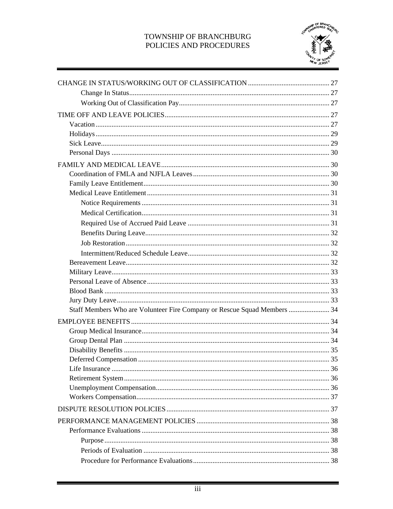

| Staff Members Who are Volunteer Fire Company or Rescue Squad Members  34 |  |
|--------------------------------------------------------------------------|--|
|                                                                          |  |
|                                                                          |  |
|                                                                          |  |
|                                                                          |  |
|                                                                          |  |
|                                                                          |  |
|                                                                          |  |
|                                                                          |  |
|                                                                          |  |
|                                                                          |  |
|                                                                          |  |
|                                                                          |  |
|                                                                          |  |
|                                                                          |  |
|                                                                          |  |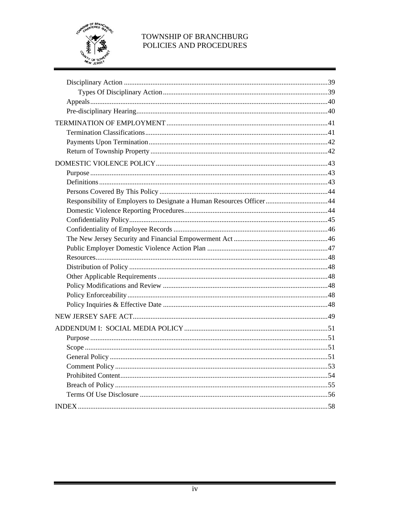

| Responsibility of Employers to Designate a Human Resources Officer44 |  |
|----------------------------------------------------------------------|--|
|                                                                      |  |
|                                                                      |  |
|                                                                      |  |
|                                                                      |  |
|                                                                      |  |
|                                                                      |  |
|                                                                      |  |
|                                                                      |  |
|                                                                      |  |
|                                                                      |  |
|                                                                      |  |
|                                                                      |  |
|                                                                      |  |
|                                                                      |  |
|                                                                      |  |
|                                                                      |  |
|                                                                      |  |
|                                                                      |  |
|                                                                      |  |
|                                                                      |  |
|                                                                      |  |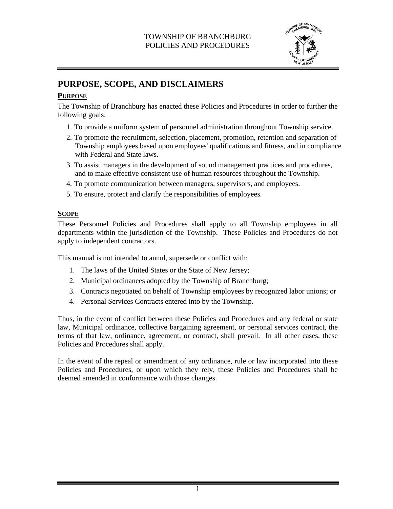

# **PURPOSE, SCOPE, AND DISCLAIMERS**

# **PURPOSE**

The Township of Branchburg has enacted these Policies and Procedures in order to further the following goals:

- 1. To provide a uniform system of personnel administration throughout Township service.
- 2. To promote the recruitment, selection, placement, promotion, retention and separation of Township employees based upon employees' qualifications and fitness, and in compliance with Federal and State laws.
- 3. To assist managers in the development of sound management practices and procedures, and to make effective consistent use of human resources throughout the Township.
- 4. To promote communication between managers, supervisors, and employees.
- 5. To ensure, protect and clarify the responsibilities of employees.

### **SCOPE**

These Personnel Policies and Procedures shall apply to all Township employees in all departments within the jurisdiction of the Township. These Policies and Procedures do not apply to independent contractors.

This manual is not intended to annul, supersede or conflict with:

- 1. The laws of the United States or the State of New Jersey;
- 2. Municipal ordinances adopted by the Township of Branchburg;
- 3. Contracts negotiated on behalf of Township employees by recognized labor unions; or
- 4. Personal Services Contracts entered into by the Township.

Thus, in the event of conflict between these Policies and Procedures and any federal or state law, Municipal ordinance, collective bargaining agreement, or personal services contract, the terms of that law, ordinance, agreement, or contract, shall prevail. In all other cases, these Policies and Procedures shall apply.

In the event of the repeal or amendment of any ordinance, rule or law incorporated into these Policies and Procedures, or upon which they rely, these Policies and Procedures shall be deemed amended in conformance with those changes.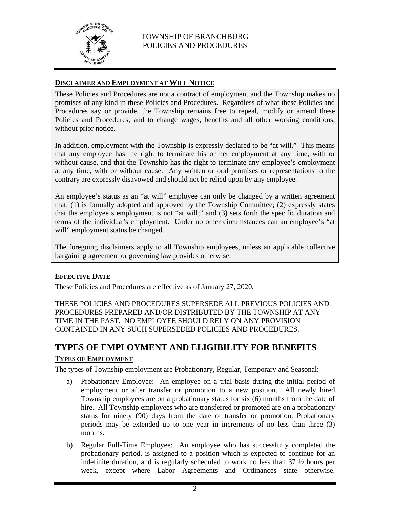

# **DISCLAIMER AND EMPLOYMENT AT WILL NOTICE**

These Policies and Procedures are not a contract of employment and the Township makes no promises of any kind in these Policies and Procedures. Regardless of what these Policies and Procedures say or provide, the Township remains free to repeal, modify or amend these Policies and Procedures, and to change wages, benefits and all other working conditions, without prior notice.

In addition, employment with the Township is expressly declared to be "at will." This means that any employee has the right to terminate his or her employment at any time, with or without cause, and that the Township has the right to terminate any employee's employment at any time, with or without cause. Any written or oral promises or representations to the contrary are expressly disavowed and should not be relied upon by any employee.

An employee's status as an "at will" employee can only be changed by a written agreement that: (1) is formally adopted and approved by the Township Committee; (2) expressly states that the employee's employment is not "at will;" and (3) sets forth the specific duration and terms of the individual's employment. Under no other circumstances can an employee's "at will" employment status be changed.

The foregoing disclaimers apply to all Township employees, unless an applicable collective bargaining agreement or governing law provides otherwise.

### **EFFECTIVE DATE**

These Policies and Procedures are effective as of January 27, 2020.

THESE POLICIES AND PROCEDURES SUPERSEDE ALL PREVIOUS POLICIES AND PROCEDURES PREPARED AND/OR DISTRIBUTED BY THE TOWNSHIP AT ANY TIME IN THE PAST. NO EMPLOYEE SHOULD RELY ON ANY PROVISION CONTAINED IN ANY SUCH SUPERSEDED POLICIES AND PROCEDURES.

# **TYPES OF EMPLOYMENT AND ELIGIBILITY FOR BENEFITS TYPES OF EMPLOYMENT**

The types of Township employment are Probationary, Regular, Temporary and Seasonal:

- a) Probationary Employee: An employee on a trial basis during the initial period of employment or after transfer or promotion to a new position. All newly hired Township employees are on a probationary status for six (6) months from the date of hire. All Township employees who are transferred or promoted are on a probationary status for ninety (90) days from the date of transfer or promotion. Probationary periods may be extended up to one year in increments of no less than three (3) months.
- b) Regular Full-Time Employee: An employee who has successfully completed the probationary period, is assigned to a position which is expected to continue for an indefinite duration, and is regularly scheduled to work no less than  $37 \frac{1}{2}$  hours per week, except where Labor Agreements and Ordinances state otherwise.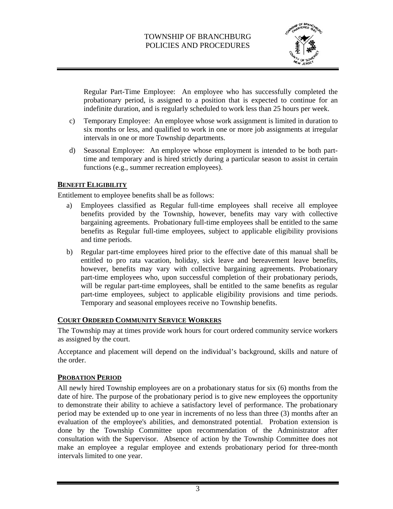

Regular Part-Time Employee: An employee who has successfully completed the probationary period, is assigned to a position that is expected to continue for an indefinite duration, and is regularly scheduled to work less than 25 hours per week.

- c) Temporary Employee: An employee whose work assignment is limited in duration to six months or less, and qualified to work in one or more job assignments at irregular intervals in one or more Township departments.
- d) Seasonal Employee: An employee whose employment is intended to be both parttime and temporary and is hired strictly during a particular season to assist in certain functions (e.g., summer recreation employees).

#### **BENEFIT ELIGIBILITY**

Entitlement to employee benefits shall be as follows:

- a) Employees classified as Regular full-time employees shall receive all employee benefits provided by the Township, however, benefits may vary with collective bargaining agreements. Probationary full-time employees shall be entitled to the same benefits as Regular full-time employees, subject to applicable eligibility provisions and time periods.
- b) Regular part-time employees hired prior to the effective date of this manual shall be entitled to pro rata vacation, holiday, sick leave and bereavement leave benefits, however, benefits may vary with collective bargaining agreements. Probationary part-time employees who, upon successful completion of their probationary periods, will be regular part-time employees, shall be entitled to the same benefits as regular part-time employees, subject to applicable eligibility provisions and time periods. Temporary and seasonal employees receive no Township benefits.

### **COURT ORDERED COMMUNITY SERVICE WORKERS**

The Township may at times provide work hours for court ordered community service workers as assigned by the court.

Acceptance and placement will depend on the individual's background, skills and nature of the order.

#### **PROBATION PERIOD**

All newly hired Township employees are on a probationary status for six (6) months from the date of hire. The purpose of the probationary period is to give new employees the opportunity to demonstrate their ability to achieve a satisfactory level of performance. The probationary period may be extended up to one year in increments of no less than three (3) months after an evaluation of the employee's abilities, and demonstrated potential. Probation extension is done by the Township Committee upon recommendation of the Administrator after consultation with the Supervisor. Absence of action by the Township Committee does not make an employee a regular employee and extends probationary period for three-month intervals limited to one year.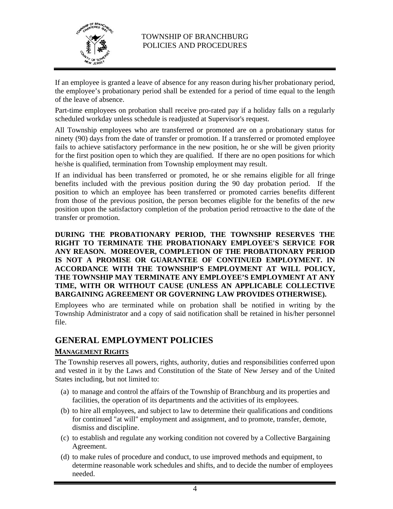

If an employee is granted a leave of absence for any reason during his/her probationary period, the employee's probationary period shall be extended for a period of time equal to the length of the leave of absence.

Part-time employees on probation shall receive pro-rated pay if a holiday falls on a regularly scheduled workday unless schedule is readjusted at Supervisor's request.

All Township employees who are transferred or promoted are on a probationary status for ninety (90) days from the date of transfer or promotion. If a transferred or promoted employee fails to achieve satisfactory performance in the new position, he or she will be given priority for the first position open to which they are qualified. If there are no open positions for which he/she is qualified, termination from Township employment may result.

If an individual has been transferred or promoted, he or she remains eligible for all fringe benefits included with the previous position during the 90 day probation period. If the position to which an employee has been transferred or promoted carries benefits different from those of the previous position, the person becomes eligible for the benefits of the new position upon the satisfactory completion of the probation period retroactive to the date of the transfer or promotion.

**DURING THE PROBATIONARY PERIOD, THE TOWNSHIP RESERVES THE RIGHT TO TERMINATE THE PROBATIONARY EMPLOYEE'S SERVICE FOR ANY REASON. MOREOVER, COMPLETION OF THE PROBATIONARY PERIOD IS NOT A PROMISE OR GUARANTEE OF CONTINUED EMPLOYMENT. IN ACCORDANCE WITH THE TOWNSHIP'S EMPLOYMENT AT WILL POLICY, THE TOWNSHIP MAY TERMINATE ANY EMPLOYEE'S EMPLOYMENT AT ANY TIME, WITH OR WITHOUT CAUSE (UNLESS AN APPLICABLE COLLECTIVE BARGAINING AGREEMENT OR GOVERNING LAW PROVIDES OTHERWISE).** 

Employees who are terminated while on probation shall be notified in writing by the Township Administrator and a copy of said notification shall be retained in his/her personnel file.

# **GENERAL EMPLOYMENT POLICIES**

### **MANAGEMENT RIGHTS**

The Township reserves all powers, rights, authority, duties and responsibilities conferred upon and vested in it by the Laws and Constitution of the State of New Jersey and of the United States including, but not limited to:

- (a) to manage and control the affairs of the Township of Branchburg and its properties and facilities, the operation of its departments and the activities of its employees.
- (b) to hire all employees, and subject to law to determine their qualifications and conditions for continued "at will" employment and assignment, and to promote, transfer, demote, dismiss and discipline.
- (c) to establish and regulate any working condition not covered by a Collective Bargaining Agreement.
- (d) to make rules of procedure and conduct, to use improved methods and equipment, to determine reasonable work schedules and shifts, and to decide the number of employees needed.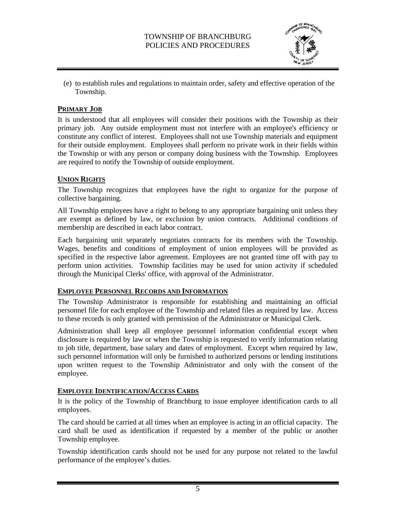

(e) to establish rules and regulations to maintain order, safety and effective operation of the Township.

#### **PRIMARY JOB**

It is understood that all employees will consider their positions with the Township as their primary job. Any outside employment must not interfere with an employee's efficiency or constitute any conflict of interest. Employees shall not use Township materials and equipment for their outside employment. Employees shall perform no private work in their fields within the Township or with any person or company doing business with the Township. Employees are required to notify the Township of outside employment.

#### **UNION RIGHTS**

The Township recognizes that employees have the right to organize for the purpose of collective bargaining.

All Township employees have a right to belong to any appropriate bargaining unit unless they are exempt as defined by law, or exclusion by union contracts. Additional conditions of membership are described in each labor contract.

Each bargaining unit separately negotiates contracts for its members with the Township. Wages, benefits and conditions of employment of union employees will be provided as specified in the respective labor agreement. Employees are not granted time off with pay to perform union activities. Township facilities may be used for union activity if scheduled through the Municipal Clerks' office, with approval of the Administrator.

#### **EMPLOYEE PERSONNEL RECORDS AND INFORMATION**

The Township Administrator is responsible for establishing and maintaining an official personnel file for each employee of the Township and related files as required by law. Access to these records is only granted with permission of the Administrator or Municipal Clerk.

Administration shall keep all employee personnel information confidential except when disclosure is required by law or when the Township is requested to verify information relating to job title, department, base salary and dates of employment. Except when required by law, such personnel information will only be furnished to authorized persons or lending institutions upon written request to the Township Administrator and only with the consent of the employee.

#### **EMPLOYEE IDENTIFICATION/ACCESS CARDS**

It is the policy of the Township of Branchburg to issue employee identification cards to all employees.

The card should be carried at all times when an employee is acting in an official capacity. The card shall be used as identification if requested by a member of the public or another Township employee.

Township identification cards should not be used for any purpose not related to the lawful performance of the employee's duties.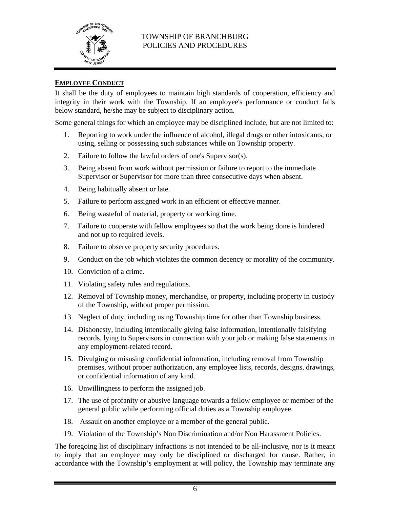

#### **EMPLOYEE CONDUCT**

It shall be the duty of employees to maintain high standards of cooperation, efficiency and integrity in their work with the Township. If an employee's performance or conduct falls below standard, he/she may be subject to disciplinary action.

Some general things for which an employee may be disciplined include, but are not limited to:

- 1. Reporting to work under the influence of alcohol, illegal drugs or other intoxicants, or using, selling or possessing such substances while on Township property.
- 2. Failure to follow the lawful orders of one's Supervisor(s).
- 3. Being absent from work without permission or failure to report to the immediate Supervisor or Supervisor for more than three consecutive days when absent.
- 4. Being habitually absent or late.
- 5. Failure to perform assigned work in an efficient or effective manner.
- 6. Being wasteful of material, property or working time.
- 7. Failure to cooperate with fellow employees so that the work being done is hindered and not up to required levels.
- 8. Failure to observe property security procedures.
- 9. Conduct on the job which violates the common decency or morality of the community.
- 10. Conviction of a crime.
- 11. Violating safety rules and regulations.
- 12. Removal of Township money, merchandise, or property, including property in custody of the Township, without proper permission.
- 13. Neglect of duty, including using Township time for other than Township business.
- 14. Dishonesty, including intentionally giving false information, intentionally falsifying records, lying to Supervisors in connection with your job or making false statements in any employment-related record.
- 15. Divulging or misusing confidential information, including removal from Township premises, without proper authorization, any employee lists, records, designs, drawings, or confidential information of any kind.
- 16. Unwillingness to perform the assigned job.
- 17. The use of profanity or abusive language towards a fellow employee or member of the general public while performing official duties as a Township employee.
- 18. Assault on another employee or a member of the general public.
- 19. Violation of the Township's Non Discrimination and/or Non Harassment Policies.

The foregoing list of disciplinary infractions is not intended to be all-inclusive, nor is it meant to imply that an employee may only be disciplined or discharged for cause. Rather, in accordance with the Township's employment at will policy, the Township may terminate any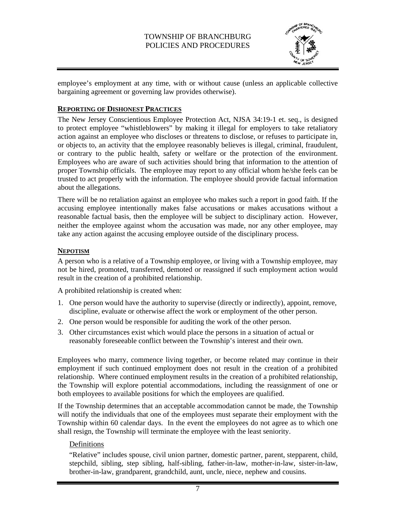

employee's employment at any time, with or without cause (unless an applicable collective bargaining agreement or governing law provides otherwise).

#### **REPORTING OF DISHONEST PRACTICES**

The New Jersey Conscientious Employee Protection Act, NJSA 34:19-1 et. seq., is designed to protect employee "whistleblowers" by making it illegal for employers to take retaliatory action against an employee who discloses or threatens to disclose, or refuses to participate in, or objects to, an activity that the employee reasonably believes is illegal, criminal, fraudulent, or contrary to the public health, safety or welfare or the protection of the environment. Employees who are aware of such activities should bring that information to the attention of proper Township officials. The employee may report to any official whom he/she feels can be trusted to act properly with the information. The employee should provide factual information about the allegations.

There will be no retaliation against an employee who makes such a report in good faith. If the accusing employee intentionally makes false accusations or makes accusations without a reasonable factual basis, then the employee will be subject to disciplinary action. However, neither the employee against whom the accusation was made, nor any other employee, may take any action against the accusing employee outside of the disciplinary process.

#### **NEPOTISM**

A person who is a relative of a Township employee, or living with a Township employee, may not be hired, promoted, transferred, demoted or reassigned if such employment action would result in the creation of a prohibited relationship.

A prohibited relationship is created when:

- 1. One person would have the authority to supervise (directly or indirectly), appoint, remove, discipline, evaluate or otherwise affect the work or employment of the other person.
- 2. One person would be responsible for auditing the work of the other person.
- 3. Other circumstances exist which would place the persons in a situation of actual or reasonably foreseeable conflict between the Township's interest and their own.

Employees who marry, commence living together, or become related may continue in their employment if such continued employment does not result in the creation of a prohibited relationship. Where continued employment results in the creation of a prohibited relationship, the Township will explore potential accommodations, including the reassignment of one or both employees to available positions for which the employees are qualified.

If the Township determines that an acceptable accommodation cannot be made, the Township will notify the individuals that one of the employees must separate their employment with the Township within 60 calendar days. In the event the employees do not agree as to which one shall resign, the Township will terminate the employee with the least seniority.

### Definitions

"Relative" includes spouse, civil union partner, domestic partner, parent, stepparent, child, stepchild, sibling, step sibling, half-sibling, father-in-law, mother-in-law, sister-in-law, brother-in-law, grandparent, grandchild, aunt, uncle, niece, nephew and cousins.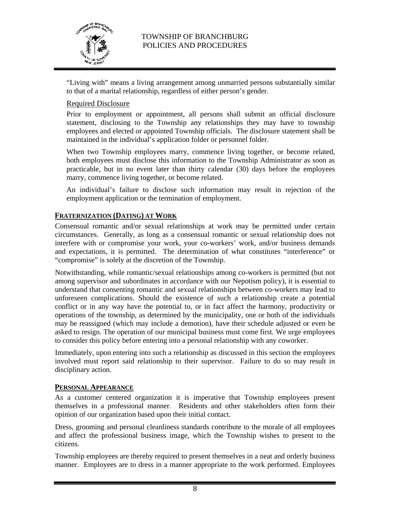

"Living with" means a living arrangement among unmarried persons substantially similar to that of a marital relationship, regardless of either person's gender.

# Required Disclosure

Prior to employment or appointment, all persons shall submit an official disclosure statement, disclosing to the Township any relationships they may have to township employees and elected or appointed Township officials. The disclosure statement shall be maintained in the individual's application folder or personnel folder.

When two Township employees marry, commence living together, or become related, both employees must disclose this information to the Township Administrator as soon as practicable, but in no event later than thirty calendar (30) days before the employees marry, commence living together, or become related.

An individual's failure to disclose such information may result in rejection of the employment application or the termination of employment.

### **FRATERNIZATION (DATING) AT WORK**

Consensual romantic and/or sexual relationships at work may be permitted under certain circumstances. Generally, as long as a consensual romantic or sexual relationship does not interfere with or compromise your work, your co-workers' work, and/or business demands and expectations, it is permitted. The determination of what constitutes "interference" or "compromise" is solely at the discretion of the Township.

Notwithstanding, while romantic/sexual relationships among co-workers is permitted (but not among supervisor and subordinates in accordance with our Nepotism policy), it is essential to understand that consenting romantic and sexual relationships between co-workers may lead to unforeseen complications. Should the existence of such a relationship create a potential conflict or in any way have the potential to, or in fact affect the harmony, productivity or operations of the township, as determined by the municipality, one or both of the individuals may be reassigned (which may include a demotion), have their schedule adjusted or even be asked to resign. The operation of our municipal business must come first. We urge employees to consider this policy before entering into a personal relationship with any coworker.

Immediately, upon entering into such a relationship as discussed in this section the employees involved must report said relationship to their supervisor. Failure to do so may result in disciplinary action.

### **PERSONAL APPEARANCE**

As a customer centered organization it is imperative that Township employees present themselves in a professional manner. Residents and other stakeholders often form their opinion of our organization based upon their initial contact.

Dress, grooming and personal cleanliness standards contribute to the morale of all employees and affect the professional business image, which the Township wishes to present to the citizens.

Township employees are thereby required to present themselves in a neat and orderly business manner. Employees are to dress in a manner appropriate to the work performed. Employees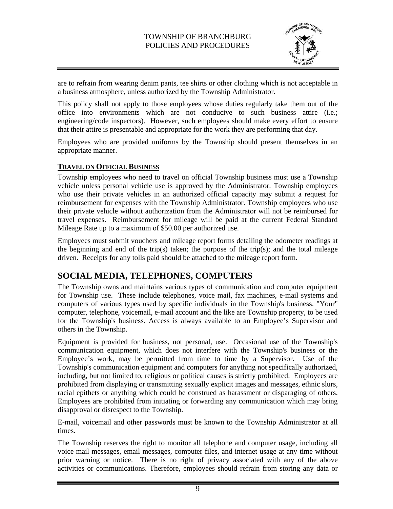

are to refrain from wearing denim pants, tee shirts or other clothing which is not acceptable in a business atmosphere, unless authorized by the Township Administrator.

This policy shall not apply to those employees whose duties regularly take them out of the office into environments which are not conducive to such business attire (i.e.; engineering/code inspectors). However, such employees should make every effort to ensure that their attire is presentable and appropriate for the work they are performing that day.

Employees who are provided uniforms by the Township should present themselves in an appropriate manner.

# **TRAVEL ON OFFICIAL BUSINESS**

Township employees who need to travel on official Township business must use a Township vehicle unless personal vehicle use is approved by the Administrator. Township employees who use their private vehicles in an authorized official capacity may submit a request for reimbursement for expenses with the Township Administrator. Township employees who use their private vehicle without authorization from the Administrator will not be reimbursed for travel expenses. Reimbursement for mileage will be paid at the current Federal Standard Mileage Rate up to a maximum of \$50.00 per authorized use.

Employees must submit vouchers and mileage report forms detailing the odometer readings at the beginning and end of the trip(s) taken; the purpose of the trip(s); and the total mileage driven. Receipts for any tolls paid should be attached to the mileage report form.

# **SOCIAL MEDIA, TELEPHONES, COMPUTERS**

The Township owns and maintains various types of communication and computer equipment for Township use. These include telephones, voice mail, fax machines, e-mail systems and computers of various types used by specific individuals in the Township's business. "Your" computer, telephone, voicemail, e-mail account and the like are Township property, to be used for the Township's business. Access is always available to an Employee's Supervisor and others in the Township.

Equipment is provided for business, not personal, use. Occasional use of the Township's communication equipment, which does not interfere with the Township's business or the Employee's work, may be permitted from time to time by a Supervisor. Use of the Township's communication equipment and computers for anything not specifically authorized, including, but not limited to, religious or political causes is strictly prohibited. Employees are prohibited from displaying or transmitting sexually explicit images and messages, ethnic slurs, racial epithets or anything which could be construed as harassment or disparaging of others. Employees are prohibited from initiating or forwarding any communication which may bring disapproval or disrespect to the Township.

E-mail, voicemail and other passwords must be known to the Township Administrator at all times.

The Township reserves the right to monitor all telephone and computer usage, including all voice mail messages, email messages, computer files, and internet usage at any time without prior warning or notice. There is no right of privacy associated with any of the above activities or communications. Therefore, employees should refrain from storing any data or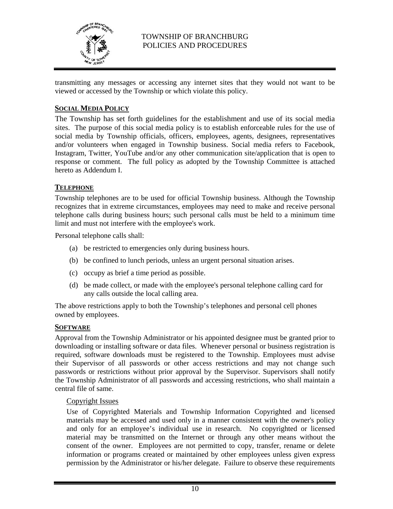

transmitting any messages or accessing any internet sites that they would not want to be viewed or accessed by the Township or which violate this policy.

### **SOCIAL MEDIA POLICY**

The Township has set forth guidelines for the establishment and use of its social media sites. The purpose of this social media policy is to establish enforceable rules for the use of social media by Township officials, officers, employees, agents, designees, representatives and/or volunteers when engaged in Township business. Social media refers to Facebook, Instagram, Twitter, YouTube and/or any other communication site/application that is open to response or comment. The full policy as adopted by the Township Committee is attached hereto as Addendum I.

#### **TELEPHONE**

Township telephones are to be used for official Township business. Although the Township recognizes that in extreme circumstances, employees may need to make and receive personal telephone calls during business hours; such personal calls must be held to a minimum time limit and must not interfere with the employee's work.

Personal telephone calls shall:

- (a) be restricted to emergencies only during business hours.
- (b) be confined to lunch periods, unless an urgent personal situation arises.
- (c) occupy as brief a time period as possible.
- (d) be made collect, or made with the employee's personal telephone calling card for any calls outside the local calling area.

The above restrictions apply to both the Township's telephones and personal cell phones owned by employees.

#### **SOFTWARE**

Approval from the Township Administrator or his appointed designee must be granted prior to downloading or installing software or data files. Whenever personal or business registration is required, software downloads must be registered to the Township. Employees must advise their Supervisor of all passwords or other access restrictions and may not change such passwords or restrictions without prior approval by the Supervisor. Supervisors shall notify the Township Administrator of all passwords and accessing restrictions, who shall maintain a central file of same.

#### Copyright Issues

Use of Copyrighted Materials and Township Information Copyrighted and licensed materials may be accessed and used only in a manner consistent with the owner's policy and only for an employee's individual use in research. No copyrighted or licensed material may be transmitted on the Internet or through any other means without the consent of the owner. Employees are not permitted to copy, transfer, rename or delete information or programs created or maintained by other employees unless given express permission by the Administrator or his/her delegate. Failure to observe these requirements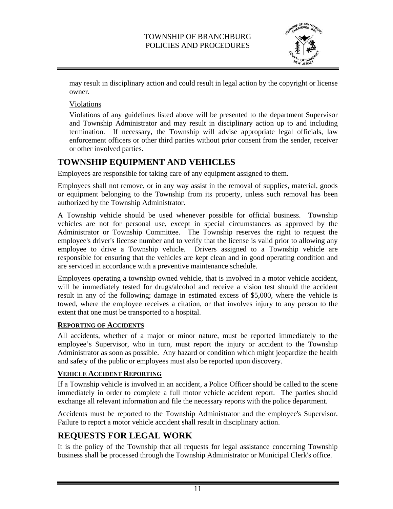

may result in disciplinary action and could result in legal action by the copyright or license owner.

Violations

Violations of any guidelines listed above will be presented to the department Supervisor and Township Administrator and may result in disciplinary action up to and including termination. If necessary, the Township will advise appropriate legal officials, law enforcement officers or other third parties without prior consent from the sender, receiver or other involved parties.

# **TOWNSHIP EQUIPMENT AND VEHICLES**

Employees are responsible for taking care of any equipment assigned to them.

Employees shall not remove, or in any way assist in the removal of supplies, material, goods or equipment belonging to the Township from its property, unless such removal has been authorized by the Township Administrator.

A Township vehicle should be used whenever possible for official business. Township vehicles are not for personal use, except in special circumstances as approved by the Administrator or Township Committee. The Township reserves the right to request the employee's driver's license number and to verify that the license is valid prior to allowing any employee to drive a Township vehicle. Drivers assigned to a Township vehicle are responsible for ensuring that the vehicles are kept clean and in good operating condition and are serviced in accordance with a preventive maintenance schedule.

Employees operating a township owned vehicle, that is involved in a motor vehicle accident, will be immediately tested for drugs/alcohol and receive a vision test should the accident result in any of the following; damage in estimated excess of \$5,000, where the vehicle is towed, where the employee receives a citation, or that involves injury to any person to the extent that one must be transported to a hospital.

### **REPORTING OF ACCIDENTS**

All accidents, whether of a major or minor nature, must be reported immediately to the employee's Supervisor, who in turn, must report the injury or accident to the Township Administrator as soon as possible. Any hazard or condition which might jeopardize the health and safety of the public or employees must also be reported upon discovery.

### **VEHICLE ACCIDENT REPORTING**

If a Township vehicle is involved in an accident, a Police Officer should be called to the scene immediately in order to complete a full motor vehicle accident report. The parties should exchange all relevant information and file the necessary reports with the police department.

Accidents must be reported to the Township Administrator and the employee's Supervisor. Failure to report a motor vehicle accident shall result in disciplinary action.

# **REQUESTS FOR LEGAL WORK**

It is the policy of the Township that all requests for legal assistance concerning Township business shall be processed through the Township Administrator or Municipal Clerk's office.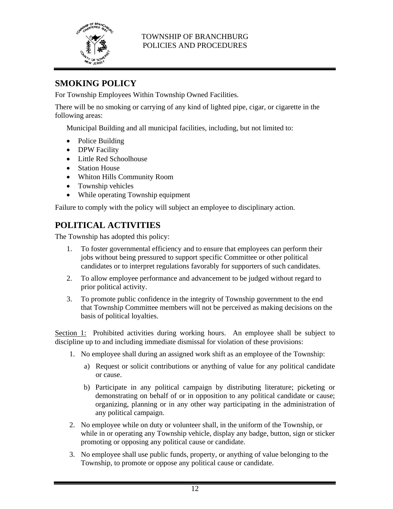

# **SMOKING POLICY**

For Township Employees Within Township Owned Facilities.

There will be no smoking or carrying of any kind of lighted pipe, cigar, or cigarette in the following areas:

Municipal Building and all municipal facilities, including, but not limited to:

- Police Building
- DPW Facility
- Little Red Schoolhouse
- Station House
- Whiton Hills Community Room
- Township vehicles
- While operating Township equipment

Failure to comply with the policy will subject an employee to disciplinary action.

# **POLITICAL ACTIVITIES**

The Township has adopted this policy:

- 1. To foster governmental efficiency and to ensure that employees can perform their jobs without being pressured to support specific Committee or other political candidates or to interpret regulations favorably for supporters of such candidates.
- 2. To allow employee performance and advancement to be judged without regard to prior political activity.
- 3. To promote public confidence in the integrity of Township government to the end that Township Committee members will not be perceived as making decisions on the basis of political loyalties.

Section 1: Prohibited activities during working hours. An employee shall be subject to discipline up to and including immediate dismissal for violation of these provisions:

- 1. No employee shall during an assigned work shift as an employee of the Township:
	- a) Request or solicit contributions or anything of value for any political candidate or cause.
	- b) Participate in any political campaign by distributing literature; picketing or demonstrating on behalf of or in opposition to any political candidate or cause; organizing, planning or in any other way participating in the administration of any political campaign.
- 2. No employee while on duty or volunteer shall, in the uniform of the Township, or while in or operating any Township vehicle, display any badge, button, sign or sticker promoting or opposing any political cause or candidate.
- 3. No employee shall use public funds, property, or anything of value belonging to the Township, to promote or oppose any political cause or candidate.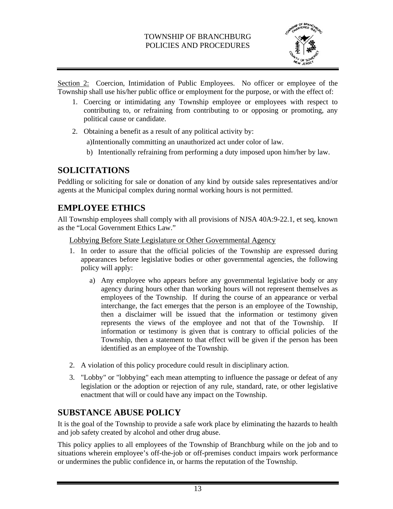

Section 2: Coercion, Intimidation of Public Employees. No officer or employee of the Township shall use his/her public office or employment for the purpose, or with the effect of:

- 1. Coercing or intimidating any Township employee or employees with respect to contributing to, or refraining from contributing to or opposing or promoting, any political cause or candidate.
- 2. Obtaining a benefit as a result of any political activity by:

a) Intentionally committing an unauthorized act under color of law.

b) Intentionally refraining from performing a duty imposed upon him/her by law.

# **SOLICITATIONS**

Peddling or soliciting for sale or donation of any kind by outside sales representatives and/or agents at the Municipal complex during normal working hours is not permitted.

# **EMPLOYEE ETHICS**

All Township employees shall comply with all provisions of NJSA 40A:9-22.1, et seq, known as the "Local Government Ethics Law."

Lobbying Before State Legislature or Other Governmental Agency

- 1. In order to assure that the official policies of the Township are expressed during appearances before legislative bodies or other governmental agencies, the following policy will apply:
	- a) Any employee who appears before any governmental legislative body or any agency during hours other than working hours will not represent themselves as employees of the Township. If during the course of an appearance or verbal interchange, the fact emerges that the person is an employee of the Township, then a disclaimer will be issued that the information or testimony given represents the views of the employee and not that of the Township. If information or testimony is given that is contrary to official policies of the Township, then a statement to that effect will be given if the person has been identified as an employee of the Township.
- 2. A violation of this policy procedure could result in disciplinary action.
- 3. "Lobby" or "lobbying" each mean attempting to influence the passage or defeat of any legislation or the adoption or rejection of any rule, standard, rate, or other legislative enactment that will or could have any impact on the Township.

# **SUBSTANCE ABUSE POLICY**

It is the goal of the Township to provide a safe work place by eliminating the hazards to health and job safety created by alcohol and other drug abuse.

This policy applies to all employees of the Township of Branchburg while on the job and to situations wherein employee's off-the-job or off-premises conduct impairs work performance or undermines the public confidence in, or harms the reputation of the Township.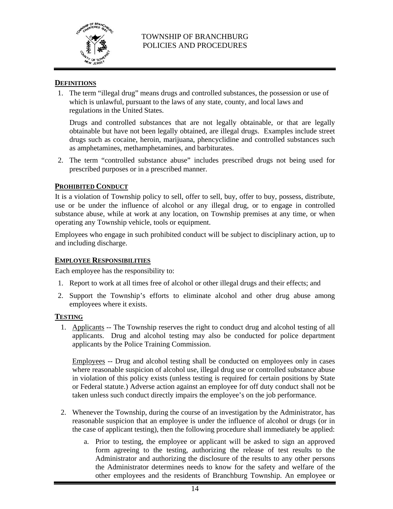

#### **DEFINITIONS**

1. The term "illegal drug" means drugs and controlled substances, the possession or use of which is unlawful, pursuant to the laws of any state, county, and local laws and regulations in the United States.

Drugs and controlled substances that are not legally obtainable, or that are legally obtainable but have not been legally obtained, are illegal drugs. Examples include street drugs such as cocaine, heroin, marijuana, phencyclidine and controlled substances such as amphetamines, methamphetamines, and barbiturates.

2. The term "controlled substance abuse" includes prescribed drugs not being used for prescribed purposes or in a prescribed manner.

#### **PROHIBITED CONDUCT**

It is a violation of Township policy to sell, offer to sell, buy, offer to buy, possess, distribute, use or be under the influence of alcohol or any illegal drug, or to engage in controlled substance abuse, while at work at any location, on Township premises at any time, or when operating any Township vehicle, tools or equipment.

Employees who engage in such prohibited conduct will be subject to disciplinary action, up to and including discharge.

#### **EMPLOYEE RESPONSIBILITIES**

Each employee has the responsibility to:

- 1. Report to work at all times free of alcohol or other illegal drugs and their effects; and
- 2. Support the Township's efforts to eliminate alcohol and other drug abuse among employees where it exists.

#### **TESTING**

1. Applicants -- The Township reserves the right to conduct drug and alcohol testing of all applicants. Drug and alcohol testing may also be conducted for police department applicants by the Police Training Commission.

Employees -- Drug and alcohol testing shall be conducted on employees only in cases where reasonable suspicion of alcohol use, illegal drug use or controlled substance abuse in violation of this policy exists (unless testing is required for certain positions by State or Federal statute.) Adverse action against an employee for off duty conduct shall not be taken unless such conduct directly impairs the employee's on the job performance.

- 2. Whenever the Township, during the course of an investigation by the Administrator, has reasonable suspicion that an employee is under the influence of alcohol or drugs (or in the case of applicant testing), then the following procedure shall immediately be applied:
	- a. Prior to testing, the employee or applicant will be asked to sign an approved form agreeing to the testing, authorizing the release of test results to the Administrator and authorizing the disclosure of the results to any other persons the Administrator determines needs to know for the safety and welfare of the other employees and the residents of Branchburg Township. An employee or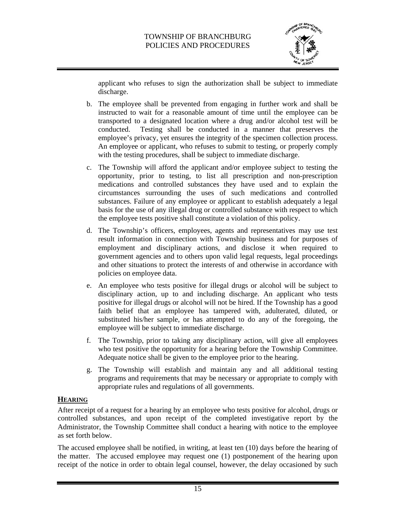

applicant who refuses to sign the authorization shall be subject to immediate discharge.

- b. The employee shall be prevented from engaging in further work and shall be instructed to wait for a reasonable amount of time until the employee can be transported to a designated location where a drug and/or alcohol test will be conducted. Testing shall be conducted in a manner that preserves the employee's privacy, yet ensures the integrity of the specimen collection process. An employee or applicant, who refuses to submit to testing, or properly comply with the testing procedures, shall be subject to immediate discharge.
- c. The Township will afford the applicant and/or employee subject to testing the opportunity, prior to testing, to list all prescription and non-prescription medications and controlled substances they have used and to explain the circumstances surrounding the uses of such medications and controlled substances. Failure of any employee or applicant to establish adequately a legal basis for the use of any illegal drug or controlled substance with respect to which the employee tests positive shall constitute a violation of this policy.
- d. The Township's officers, employees, agents and representatives may use test result information in connection with Township business and for purposes of employment and disciplinary actions, and disclose it when required to government agencies and to others upon valid legal requests, legal proceedings and other situations to protect the interests of and otherwise in accordance with policies on employee data.
- e. An employee who tests positive for illegal drugs or alcohol will be subject to disciplinary action, up to and including discharge. An applicant who tests positive for illegal drugs or alcohol will not be hired. If the Township has a good faith belief that an employee has tampered with, adulterated, diluted, or substituted his/her sample, or has attempted to do any of the foregoing, the employee will be subject to immediate discharge.
- f. The Township, prior to taking any disciplinary action, will give all employees who test positive the opportunity for a hearing before the Township Committee. Adequate notice shall be given to the employee prior to the hearing.
- g. The Township will establish and maintain any and all additional testing programs and requirements that may be necessary or appropriate to comply with appropriate rules and regulations of all governments.

# **HEARING**

After receipt of a request for a hearing by an employee who tests positive for alcohol, drugs or controlled substances, and upon receipt of the completed investigative report by the Administrator, the Township Committee shall conduct a hearing with notice to the employee as set forth below.

The accused employee shall be notified, in writing, at least ten (10) days before the hearing of the matter. The accused employee may request one (1) postponement of the hearing upon receipt of the notice in order to obtain legal counsel, however, the delay occasioned by such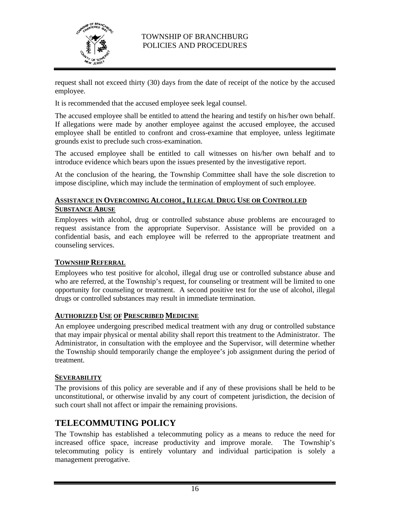

request shall not exceed thirty (30) days from the date of receipt of the notice by the accused employee.

It is recommended that the accused employee seek legal counsel.

The accused employee shall be entitled to attend the hearing and testify on his/her own behalf. If allegations were made by another employee against the accused employee, the accused employee shall be entitled to confront and cross-examine that employee, unless legitimate grounds exist to preclude such cross-examination.

The accused employee shall be entitled to call witnesses on his/her own behalf and to introduce evidence which bears upon the issues presented by the investigative report.

At the conclusion of the hearing, the Township Committee shall have the sole discretion to impose discipline, which may include the termination of employment of such employee.

### **ASSISTANCE IN OVERCOMING ALCOHOL, ILLEGAL DRUG USE OR CONTROLLED SUBSTANCE ABUSE**

Employees with alcohol, drug or controlled substance abuse problems are encouraged to request assistance from the appropriate Supervisor. Assistance will be provided on a confidential basis, and each employee will be referred to the appropriate treatment and counseling services.

### **TOWNSHIP REFERRAL**

Employees who test positive for alcohol, illegal drug use or controlled substance abuse and who are referred, at the Township's request, for counseling or treatment will be limited to one opportunity for counseling or treatment. A second positive test for the use of alcohol, illegal drugs or controlled substances may result in immediate termination.

### **AUTHORIZED USE OF PRESCRIBED MEDICINE**

An employee undergoing prescribed medical treatment with any drug or controlled substance that may impair physical or mental ability shall report this treatment to the Administrator. The Administrator, in consultation with the employee and the Supervisor, will determine whether the Township should temporarily change the employee's job assignment during the period of treatment.

#### **SEVERABILITY**

The provisions of this policy are severable and if any of these provisions shall be held to be unconstitutional, or otherwise invalid by any court of competent jurisdiction, the decision of such court shall not affect or impair the remaining provisions.

# **TELECOMMUTING POLICY**

The Township has established a telecommuting policy as a means to reduce the need for increased office space, increase productivity and improve morale. The Township's telecommuting policy is entirely voluntary and individual participation is solely a management prerogative.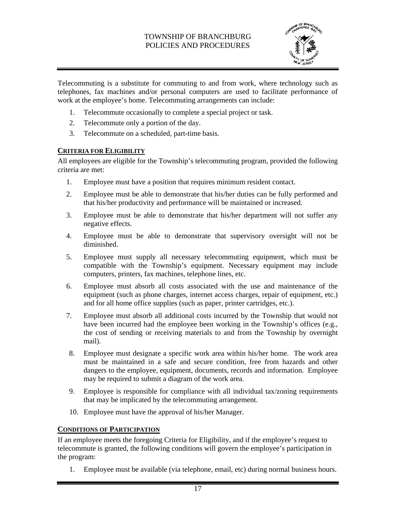

Telecommuting is a substitute for commuting to and from work, where technology such as telephones, fax machines and/or personal computers are used to facilitate performance of work at the employee's home. Telecommuting arrangements can include:

- 1. Telecommute occasionally to complete a special project or task.
- 2. Telecommute only a portion of the day.
- 3. Telecommute on a scheduled, part-time basis.

#### **CRITERIA FOR ELIGIBILITY**

All employees are eligible for the Township's telecommuting program, provided the following criteria are met:

- 1. Employee must have a position that requires minimum resident contact.
- 2. Employee must be able to demonstrate that his/her duties can be fully performed and that his/her productivity and performance will be maintained or increased.
- 3. Employee must be able to demonstrate that his/her department will not suffer any negative effects.
- 4. Employee must be able to demonstrate that supervisory oversight will not be diminished.
- 5. Employee must supply all necessary telecommuting equipment, which must be compatible with the Township's equipment. Necessary equipment may include computers, printers, fax machines, telephone lines, etc.
- 6. Employee must absorb all costs associated with the use and maintenance of the equipment (such as phone charges, internet access charges, repair of equipment, etc.) and for all home office supplies (such as paper, printer cartridges, etc.).
- 7. Employee must absorb all additional costs incurred by the Township that would not have been incurred had the employee been working in the Township's offices (e.g., the cost of sending or receiving materials to and from the Township by overnight mail).
- 8. Employee must designate a specific work area within his/her home. The work area must be maintained in a safe and secure condition, free from hazards and other dangers to the employee, equipment, documents, records and information. Employee may be required to submit a diagram of the work area.
- 9. Employee is responsible for compliance with all individual tax/zoning requirements that may be implicated by the telecommuting arrangement.
- 10. Employee must have the approval of his/her Manager.

### **CONDITIONS OF PARTICIPATION**

If an employee meets the foregoing Criteria for Eligibility, and if the employee's request to telecommute is granted, the following conditions will govern the employee's participation in the program:

1. Employee must be available (via telephone, email, etc) during normal business hours.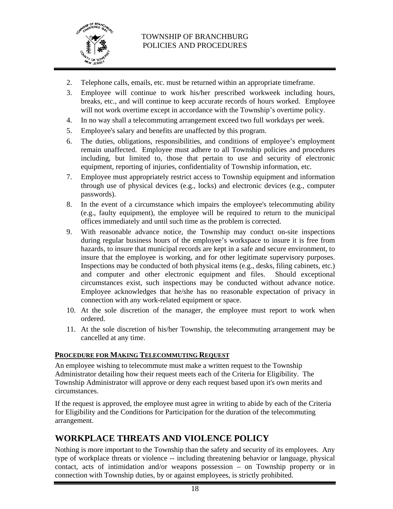

- 2. Telephone calls, emails, etc. must be returned within an appropriate timeframe.
- 3. Employee will continue to work his/her prescribed workweek including hours, breaks, etc., and will continue to keep accurate records of hours worked. Employee will not work overtime except in accordance with the Township's overtime policy.
- 4. In no way shall a telecommuting arrangement exceed two full workdays per week.
- 5. Employee's salary and benefits are unaffected by this program.
- 6. The duties, obligations, responsibilities, and conditions of employee's employment remain unaffected. Employee must adhere to all Township policies and procedures including, but limited to, those that pertain to use and security of electronic equipment, reporting of injuries, confidentiality of Township information, etc.
- 7. Employee must appropriately restrict access to Township equipment and information through use of physical devices (e.g., locks) and electronic devices (e.g., computer passwords).
- 8. In the event of a circumstance which impairs the employee's telecommuting ability (e.g., faulty equipment), the employee will be required to return to the municipal offices immediately and until such time as the problem is corrected.
- 9. With reasonable advance notice, the Township may conduct on-site inspections during regular business hours of the employee's workspace to insure it is free from hazards, to insure that municipal records are kept in a safe and secure environment, to insure that the employee is working, and for other legitimate supervisory purposes. Inspections may be conducted of both physical items (e.g., desks, filing cabinets, etc.) and computer and other electronic equipment and files. Should exceptional circumstances exist, such inspections may be conducted without advance notice. Employee acknowledges that he/she has no reasonable expectation of privacy in connection with any work-related equipment or space.
- 10. At the sole discretion of the manager, the employee must report to work when ordered.
- 11. At the sole discretion of his/her Township, the telecommuting arrangement may be cancelled at any time.

#### **PROCEDURE FOR MAKING TELECOMMUTING REQUEST**

An employee wishing to telecommute must make a written request to the Township Administrator detailing how their request meets each of the Criteria for Eligibility. The Township Administrator will approve or deny each request based upon it's own merits and circumstances.

If the request is approved, the employee must agree in writing to abide by each of the Criteria for Eligibility and the Conditions for Participation for the duration of the telecommuting arrangement.

# **WORKPLACE THREATS AND VIOLENCE POLICY**

Nothing is more important to the Township than the safety and security of its employees. Any type of workplace threats or violence -- including threatening behavior or language, physical contact, acts of intimidation and/or weapons possession – on Township property or in connection with Township duties, by or against employees, is strictly prohibited.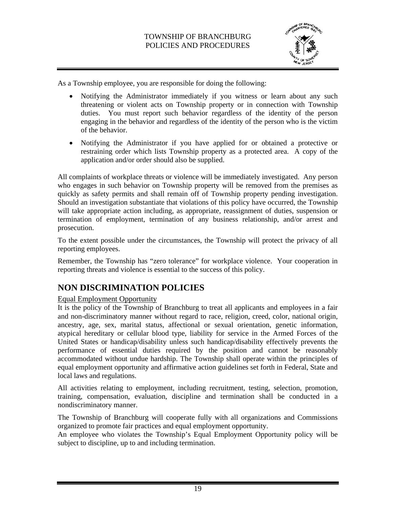

As a Township employee, you are responsible for doing the following:

- Notifying the Administrator immediately if you witness or learn about any such threatening or violent acts on Township property or in connection with Township duties. You must report such behavior regardless of the identity of the person engaging in the behavior and regardless of the identity of the person who is the victim of the behavior.
- Notifying the Administrator if you have applied for or obtained a protective or restraining order which lists Township property as a protected area. A copy of the application and/or order should also be supplied.

All complaints of workplace threats or violence will be immediately investigated. Any person who engages in such behavior on Township property will be removed from the premises as quickly as safety permits and shall remain off of Township property pending investigation. Should an investigation substantiate that violations of this policy have occurred, the Township will take appropriate action including, as appropriate, reassignment of duties, suspension or termination of employment, termination of any business relationship, and/or arrest and prosecution.

To the extent possible under the circumstances, the Township will protect the privacy of all reporting employees.

Remember, the Township has "zero tolerance" for workplace violence. Your cooperation in reporting threats and violence is essential to the success of this policy.

# **NON DISCRIMINATION POLICIES**

### Equal Employment Opportunity

It is the policy of the Township of Branchburg to treat all applicants and employees in a fair and non-discriminatory manner without regard to race, religion, creed, color, national origin, ancestry, age, sex, marital status, affectional or sexual orientation, genetic information, atypical hereditary or cellular blood type, liability for service in the Armed Forces of the United States or handicap/disability unless such handicap/disability effectively prevents the performance of essential duties required by the position and cannot be reasonably accommodated without undue hardship. The Township shall operate within the principles of equal employment opportunity and affirmative action guidelines set forth in Federal, State and local laws and regulations.

All activities relating to employment, including recruitment, testing, selection, promotion, training, compensation, evaluation, discipline and termination shall be conducted in a nondiscriminatory manner.

The Township of Branchburg will cooperate fully with all organizations and Commissions organized to promote fair practices and equal employment opportunity.

An employee who violates the Township's Equal Employment Opportunity policy will be subject to discipline, up to and including termination.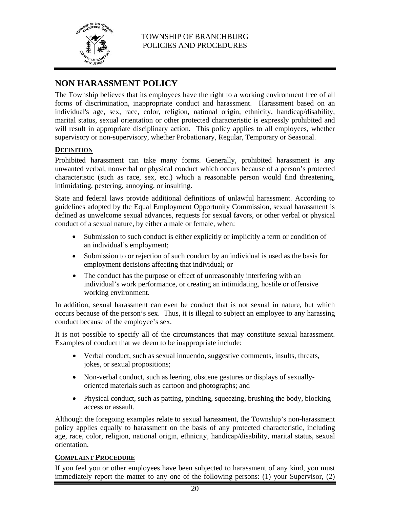

# **NON HARASSMENT POLICY**

The Township believes that its employees have the right to a working environment free of all forms of discrimination, inappropriate conduct and harassment. Harassment based on an individual's age, sex, race, color, religion, national origin, ethnicity, handicap/disability, marital status, sexual orientation or other protected characteristic is expressly prohibited and will result in appropriate disciplinary action. This policy applies to all employees, whether supervisory or non-supervisory, whether Probationary, Regular, Temporary or Seasonal.

#### **DEFINITION**

Prohibited harassment can take many forms. Generally, prohibited harassment is any unwanted verbal, nonverbal or physical conduct which occurs because of a person's protected characteristic (such as race, sex, etc.) which a reasonable person would find threatening, intimidating, pestering, annoying, or insulting.

State and federal laws provide additional definitions of unlawful harassment. According to guidelines adopted by the Equal Employment Opportunity Commission, sexual harassment is defined as unwelcome sexual advances, requests for sexual favors, or other verbal or physical conduct of a sexual nature, by either a male or female, when:

- Submission to such conduct is either explicitly or implicitly a term or condition of an individual's employment;
- Submission to or rejection of such conduct by an individual is used as the basis for employment decisions affecting that individual; or
- The conduct has the purpose or effect of unreasonably interfering with an individual's work performance, or creating an intimidating, hostile or offensive working environment.

In addition, sexual harassment can even be conduct that is not sexual in nature, but which occurs because of the person's sex. Thus, it is illegal to subject an employee to any harassing conduct because of the employee's sex.

It is not possible to specify all of the circumstances that may constitute sexual harassment. Examples of conduct that we deem to be inappropriate include:

- Verbal conduct, such as sexual innuendo, suggestive comments, insults, threats, jokes, or sexual propositions;
- Non-verbal conduct, such as leering, obscene gestures or displays of sexuallyoriented materials such as cartoon and photographs; and
- Physical conduct, such as patting, pinching, squeezing, brushing the body, blocking access or assault.

Although the foregoing examples relate to sexual harassment, the Township's non-harassment policy applies equally to harassment on the basis of any protected characteristic, including age, race, color, religion, national origin, ethnicity, handicap/disability, marital status, sexual orientation.

#### **COMPLAINT PROCEDURE**

If you feel you or other employees have been subjected to harassment of any kind, you must immediately report the matter to any one of the following persons: (1) your Supervisor, (2)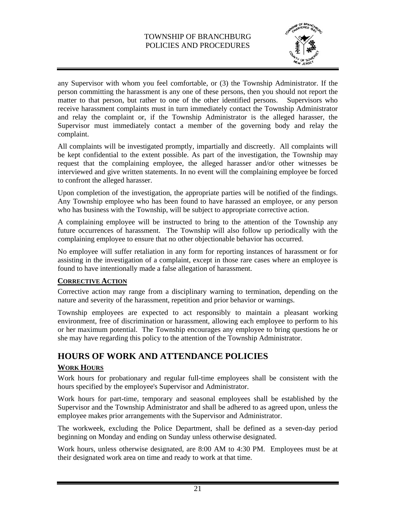

any Supervisor with whom you feel comfortable, or (3) the Township Administrator. If the person committing the harassment is any one of these persons, then you should not report the matter to that person, but rather to one of the other identified persons. Supervisors who receive harassment complaints must in turn immediately contact the Township Administrator and relay the complaint or, if the Township Administrator is the alleged harasser, the Supervisor must immediately contact a member of the governing body and relay the complaint.

All complaints will be investigated promptly, impartially and discreetly. All complaints will be kept confidential to the extent possible. As part of the investigation, the Township may request that the complaining employee, the alleged harasser and/or other witnesses be interviewed and give written statements. In no event will the complaining employee be forced to confront the alleged harasser.

Upon completion of the investigation, the appropriate parties will be notified of the findings. Any Township employee who has been found to have harassed an employee, or any person who has business with the Township, will be subject to appropriate corrective action.

A complaining employee will be instructed to bring to the attention of the Township any future occurrences of harassment. The Township will also follow up periodically with the complaining employee to ensure that no other objectionable behavior has occurred.

No employee will suffer retaliation in any form for reporting instances of harassment or for assisting in the investigation of a complaint, except in those rare cases where an employee is found to have intentionally made a false allegation of harassment.

### **CORRECTIVE ACTION**

Corrective action may range from a disciplinary warning to termination, depending on the nature and severity of the harassment, repetition and prior behavior or warnings.

Township employees are expected to act responsibly to maintain a pleasant working environment, free of discrimination or harassment, allowing each employee to perform to his or her maximum potential. The Township encourages any employee to bring questions he or she may have regarding this policy to the attention of the Township Administrator.

# **HOURS OF WORK AND ATTENDANCE POLICIES**

### **WORK HOURS**

Work hours for probationary and regular full-time employees shall be consistent with the hours specified by the employee's Supervisor and Administrator.

Work hours for part-time, temporary and seasonal employees shall be established by the Supervisor and the Township Administrator and shall be adhered to as agreed upon, unless the employee makes prior arrangements with the Supervisor and Administrator.

The workweek, excluding the Police Department, shall be defined as a seven-day period beginning on Monday and ending on Sunday unless otherwise designated.

Work hours, unless otherwise designated, are 8:00 AM to 4:30 PM. Employees must be at their designated work area on time and ready to work at that time.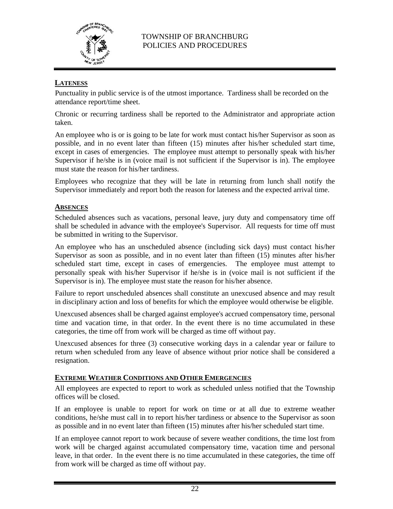

# **LATENESS**

Punctuality in public service is of the utmost importance. Tardiness shall be recorded on the attendance report/time sheet.

Chronic or recurring tardiness shall be reported to the Administrator and appropriate action taken.

An employee who is or is going to be late for work must contact his/her Supervisor as soon as possible, and in no event later than fifteen (15) minutes after his/her scheduled start time, except in cases of emergencies. The employee must attempt to personally speak with his/her Supervisor if he/she is in (voice mail is not sufficient if the Supervisor is in). The employee must state the reason for his/her tardiness.

Employees who recognize that they will be late in returning from lunch shall notify the Supervisor immediately and report both the reason for lateness and the expected arrival time.

#### **ABSENCES**

Scheduled absences such as vacations, personal leave, jury duty and compensatory time off shall be scheduled in advance with the employee's Supervisor. All requests for time off must be submitted in writing to the Supervisor.

An employee who has an unscheduled absence (including sick days) must contact his/her Supervisor as soon as possible, and in no event later than fifteen (15) minutes after his/her scheduled start time, except in cases of emergencies. The employee must attempt to personally speak with his/her Supervisor if he/she is in (voice mail is not sufficient if the Supervisor is in). The employee must state the reason for his/her absence.

Failure to report unscheduled absences shall constitute an unexcused absence and may result in disciplinary action and loss of benefits for which the employee would otherwise be eligible.

Unexcused absences shall be charged against employee's accrued compensatory time, personal time and vacation time, in that order. In the event there is no time accumulated in these categories, the time off from work will be charged as time off without pay.

Unexcused absences for three (3) consecutive working days in a calendar year or failure to return when scheduled from any leave of absence without prior notice shall be considered a resignation.

#### **EXTREME WEATHER CONDITIONS AND OTHER EMERGENCIES**

All employees are expected to report to work as scheduled unless notified that the Township offices will be closed.

If an employee is unable to report for work on time or at all due to extreme weather conditions, he/she must call in to report his/her tardiness or absence to the Supervisor as soon as possible and in no event later than fifteen (15) minutes after his/her scheduled start time.

If an employee cannot report to work because of severe weather conditions, the time lost from work will be charged against accumulated compensatory time, vacation time and personal leave, in that order. In the event there is no time accumulated in these categories, the time off from work will be charged as time off without pay.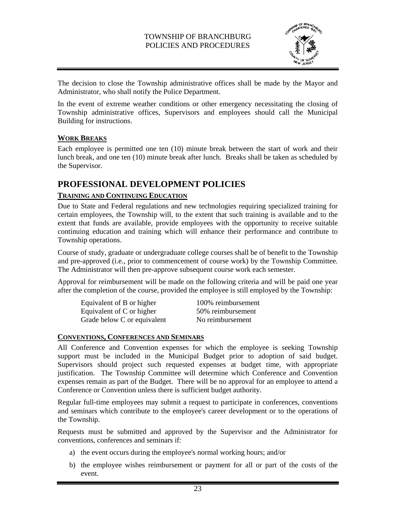

The decision to close the Township administrative offices shall be made by the Mayor and Administrator, who shall notify the Police Department.

In the event of extreme weather conditions or other emergency necessitating the closing of Township administrative offices, Supervisors and employees should call the Municipal Building for instructions.

### **WORK BREAKS**

Each employee is permitted one ten (10) minute break between the start of work and their lunch break, and one ten (10) minute break after lunch. Breaks shall be taken as scheduled by the Supervisor.

# **PROFESSIONAL DEVELOPMENT POLICIES**

#### **TRAINING AND CONTINUING EDUCATION**

Due to State and Federal regulations and new technologies requiring specialized training for certain employees, the Township will, to the extent that such training is available and to the extent that funds are available, provide employees with the opportunity to receive suitable continuing education and training which will enhance their performance and contribute to Township operations.

Course of study, graduate or undergraduate college courses shall be of benefit to the Township and pre-approved (i.e., prior to commencement of course work) by the Township Committee. The Administrator will then pre-approve subsequent course work each semester.

Approval for reimbursement will be made on the following criteria and will be paid one year after the completion of the course, provided the employee is still employed by the Township:

| Equivalent of B or higher   | 100% reimbursement |
|-----------------------------|--------------------|
| Equivalent of C or higher   | 50% reimbursement  |
| Grade below C or equivalent | No reimbursement   |

### **CONVENTIONS, CONFERENCES AND SEMINARS**

All Conference and Convention expenses for which the employee is seeking Township support must be included in the Municipal Budget prior to adoption of said budget. Supervisors should project such requested expenses at budget time, with appropriate justification. The Township Committee will determine which Conference and Convention expenses remain as part of the Budget. There will be no approval for an employee to attend a Conference or Convention unless there is sufficient budget authority.

Regular full-time employees may submit a request to participate in conferences, conventions and seminars which contribute to the employee's career development or to the operations of the Township.

Requests must be submitted and approved by the Supervisor and the Administrator for conventions, conferences and seminars if:

- a) the event occurs during the employee's normal working hours; and/or
- b) the employee wishes reimbursement or payment for all or part of the costs of the event.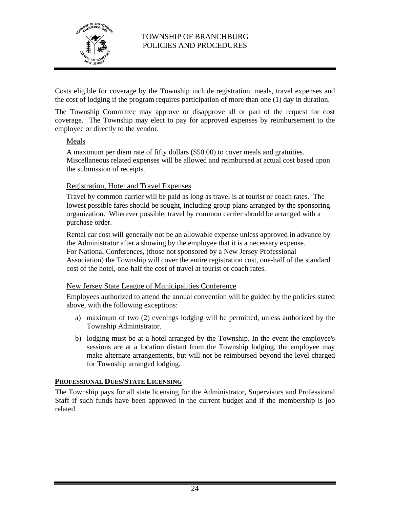

Costs eligible for coverage by the Township include registration, meals, travel expenses and the cost of lodging if the program requires participation of more than one (1) day in duration.

The Township Committee may approve or disapprove all or part of the request for cost coverage. The Township may elect to pay for approved expenses by reimbursement to the employee or directly to the vendor.

#### Meals

A maximum per diem rate of fifty dollars (\$50.00) to cover meals and gratuities. Miscellaneous related expenses will be allowed and reimbursed at actual cost based upon the submission of receipts.

#### Registration, Hotel and Travel Expenses

Travel by common carrier will be paid as long as travel is at tourist or coach rates. The lowest possible fares should be sought, including group plans arranged by the sponsoring organization. Wherever possible, travel by common carrier should be arranged with a purchase order.

Rental car cost will generally not be an allowable expense unless approved in advance by the Administrator after a showing by the employee that it is a necessary expense. For National Conferences, (those not sponsored by a New Jersey Professional Association) the Township will cover the entire registration cost, one-half of the standard cost of the hotel, one-half the cost of travel at tourist or coach rates.

#### New Jersey State League of Municipalities Conference

Employees authorized to attend the annual convention will be guided by the policies stated above, with the following exceptions:

- a) maximum of two (2) evenings lodging will be permitted, unless authorized by the Township Administrator.
- b) lodging must be at a hotel arranged by the Township. In the event the employee's sessions are at a location distant from the Township lodging, the employee may make alternate arrangements, but will not be reimbursed beyond the level charged for Township arranged lodging.

### **PROFESSIONAL DUES/STATE LICENSING**

The Township pays for all state licensing for the Administrator, Supervisors and Professional Staff if such funds have been approved in the current budget and if the membership is job related.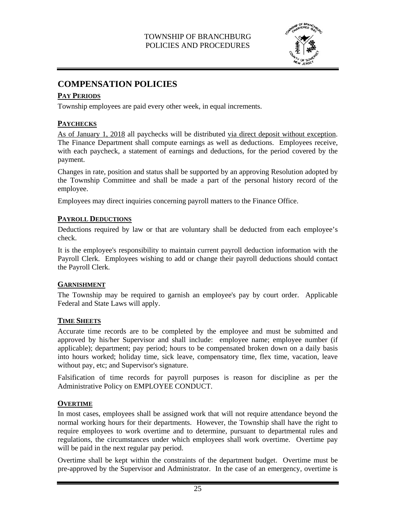

# **COMPENSATION POLICIES**

# **PAY PERIODS**

Township employees are paid every other week, in equal increments.

# **PAYCHECKS**

As of January 1, 2018 all paychecks will be distributed via direct deposit without exception. The Finance Department shall compute earnings as well as deductions. Employees receive, with each paycheck, a statement of earnings and deductions, for the period covered by the payment.

Changes in rate, position and status shall be supported by an approving Resolution adopted by the Township Committee and shall be made a part of the personal history record of the employee.

Employees may direct inquiries concerning payroll matters to the Finance Office.

# **PAYROLL DEDUCTIONS**

Deductions required by law or that are voluntary shall be deducted from each employee's check.

It is the employee's responsibility to maintain current payroll deduction information with the Payroll Clerk. Employees wishing to add or change their payroll deductions should contact the Payroll Clerk.

### **GARNISHMENT**

The Township may be required to garnish an employee's pay by court order. Applicable Federal and State Laws will apply.

### **TIME SHEETS**

Accurate time records are to be completed by the employee and must be submitted and approved by his/her Supervisor and shall include: employee name; employee number (if applicable); department; pay period; hours to be compensated broken down on a daily basis into hours worked; holiday time, sick leave, compensatory time, flex time, vacation, leave without pay, etc; and Supervisor's signature.

Falsification of time records for payroll purposes is reason for discipline as per the Administrative Policy on EMPLOYEE CONDUCT.

# **OVERTIME**

In most cases, employees shall be assigned work that will not require attendance beyond the normal working hours for their departments. However, the Township shall have the right to require employees to work overtime and to determine, pursuant to departmental rules and regulations, the circumstances under which employees shall work overtime. Overtime pay will be paid in the next regular pay period.

Overtime shall be kept within the constraints of the department budget. Overtime must be pre-approved by the Supervisor and Administrator. In the case of an emergency, overtime is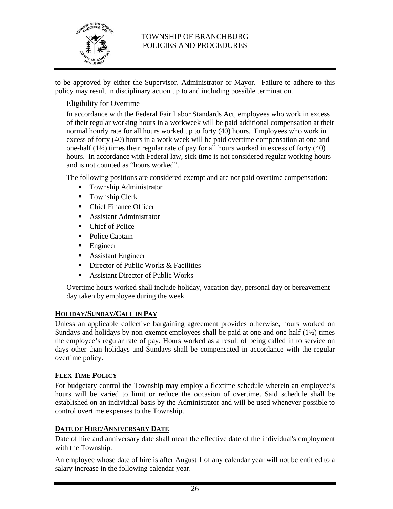

to be approved by either the Supervisor, Administrator or Mayor. Failure to adhere to this policy may result in disciplinary action up to and including possible termination.

# Eligibility for Overtime

In accordance with the Federal Fair Labor Standards Act, employees who work in excess of their regular working hours in a workweek will be paid additional compensation at their normal hourly rate for all hours worked up to forty (40) hours. Employees who work in excess of forty (40) hours in a work week will be paid overtime compensation at one and one-half (1½) times their regular rate of pay for all hours worked in excess of forty (40) hours. In accordance with Federal law, sick time is not considered regular working hours and is not counted as "hours worked".

The following positions are considered exempt and are not paid overtime compensation:

- Township Administrator
- **Township Clerk**
- Chief Finance Officer
- Assistant Administrator
- Chief of Police
- Police Captain
- **Engineer**
- **Assistant Engineer**
- **Director of Public Works & Facilities**
- Assistant Director of Public Works

Overtime hours worked shall include holiday, vacation day, personal day or bereavement day taken by employee during the week.

#### **HOLIDAY/SUNDAY/CALL IN PAY**

Unless an applicable collective bargaining agreement provides otherwise, hours worked on Sundays and holidays by non-exempt employees shall be paid at one and one-half (1½) times the employee's regular rate of pay. Hours worked as a result of being called in to service on days other than holidays and Sundays shall be compensated in accordance with the regular overtime policy.

### **FLEX TIME POLICY**

For budgetary control the Township may employ a flextime schedule wherein an employee's hours will be varied to limit or reduce the occasion of overtime. Said schedule shall be established on an individual basis by the Administrator and will be used whenever possible to control overtime expenses to the Township.

#### **DATE OF HIRE/ANNIVERSARY DATE**

Date of hire and anniversary date shall mean the effective date of the individual's employment with the Township.

An employee whose date of hire is after August 1 of any calendar year will not be entitled to a salary increase in the following calendar year.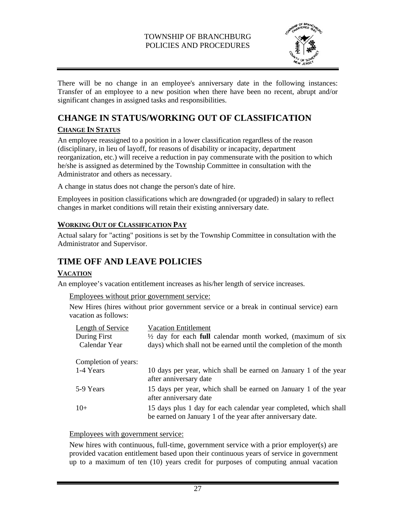

There will be no change in an employee's anniversary date in the following instances: Transfer of an employee to a new position when there have been no recent, abrupt and/or significant changes in assigned tasks and responsibilities.

# **CHANGE IN STATUS/WORKING OUT OF CLASSIFICATION**

# **CHANGE IN STATUS**

An employee reassigned to a position in a lower classification regardless of the reason (disciplinary, in lieu of layoff, for reasons of disability or incapacity, department reorganization, etc.) will receive a reduction in pay commensurate with the position to which he/she is assigned as determined by the Township Committee in consultation with the Administrator and others as necessary.

A change in status does not change the person's date of hire.

Employees in position classifications which are downgraded (or upgraded) in salary to reflect changes in market conditions will retain their existing anniversary date.

# **WORKING OUT OF CLASSIFICATION PAY**

Actual salary for "acting" positions is set by the Township Committee in consultation with the Administrator and Supervisor.

# **TIME OFF AND LEAVE POLICIES**

# **VACATION**

An employee's vacation entitlement increases as his/her length of service increases.

Employees without prior government service:

New Hires (hires without prior government service or a break in continual service) earn vacation as follows:

| Length of Service    | <b>Vacation Entitlement</b>                                                                                                    |
|----------------------|--------------------------------------------------------------------------------------------------------------------------------|
| During First         | $\frac{1}{2}$ day for each full calendar month worked, (maximum of six                                                         |
| Calendar Year        | days) which shall not be earned until the completion of the month                                                              |
| Completion of years: | 10 days per year, which shall be earned on January 1 of the year                                                               |
| 1-4 Years            | after anniversary date                                                                                                         |
| 5-9 Years            | 15 days per year, which shall be earned on January 1 of the year<br>after anniversary date                                     |
| $10+$                | 15 days plus 1 day for each calendar year completed, which shall<br>be earned on January 1 of the year after anniversary date. |

# Employees with government service:

New hires with continuous, full-time, government service with a prior employer(s) are provided vacation entitlement based upon their continuous years of service in government up to a maximum of ten (10) years credit for purposes of computing annual vacation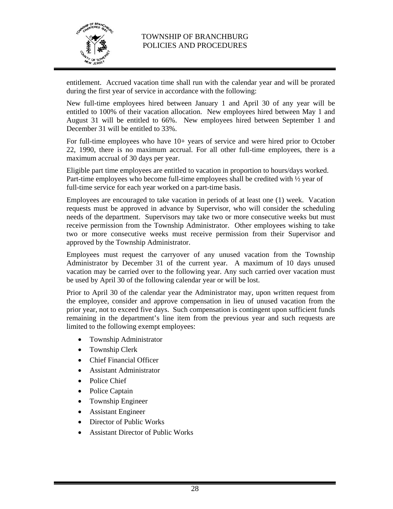

entitlement. Accrued vacation time shall run with the calendar year and will be prorated during the first year of service in accordance with the following:

New full-time employees hired between January 1 and April 30 of any year will be entitled to 100% of their vacation allocation. New employees hired between May 1 and August 31 will be entitled to 66%. New employees hired between September 1 and December 31 will be entitled to 33%.

For full-time employees who have 10+ years of service and were hired prior to October 22, 1990, there is no maximum accrual. For all other full-time employees, there is a maximum accrual of 30 days per year.

Eligible part time employees are entitled to vacation in proportion to hours/days worked. Part-time employees who become full-time employees shall be credited with ½ year of full-time service for each year worked on a part-time basis.

Employees are encouraged to take vacation in periods of at least one (1) week. Vacation requests must be approved in advance by Supervisor, who will consider the scheduling needs of the department. Supervisors may take two or more consecutive weeks but must receive permission from the Township Administrator. Other employees wishing to take two or more consecutive weeks must receive permission from their Supervisor and approved by the Township Administrator.

Employees must request the carryover of any unused vacation from the Township Administrator by December 31 of the current year. A maximum of 10 days unused vacation may be carried over to the following year. Any such carried over vacation must be used by April 30 of the following calendar year or will be lost.

Prior to April 30 of the calendar year the Administrator may, upon written request from the employee, consider and approve compensation in lieu of unused vacation from the prior year, not to exceed five days. Such compensation is contingent upon sufficient funds remaining in the department's line item from the previous year and such requests are limited to the following exempt employees:

- Township Administrator
- Township Clerk
- Chief Financial Officer
- Assistant Administrator
- Police Chief
- Police Captain
- Township Engineer
- Assistant Engineer
- Director of Public Works
- Assistant Director of Public Works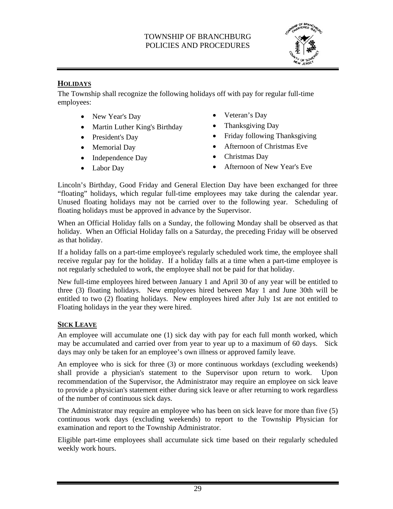

# **HOLIDAYS**

The Township shall recognize the following holidays off with pay for regular full-time employees:

- New Year's Day **•** Veteran's Day
- Martin Luther King's Birthday Thanksgiving Day
- 
- 
- Independence Day Christmas Day
- 
- 
- 
- President's Day **Friday following Thanksgiving**
- Memorial Day <br>• Afternoon of Christmas Eve
	-
- Labor Day  **Afternoon of New Year's Eve**

Lincoln's Birthday, Good Friday and General Election Day have been exchanged for three "floating" holidays, which regular full-time employees may take during the calendar year. Unused floating holidays may not be carried over to the following year. Scheduling of floating holidays must be approved in advance by the Supervisor.

When an Official Holiday falls on a Sunday, the following Monday shall be observed as that holiday. When an Official Holiday falls on a Saturday, the preceding Friday will be observed as that holiday.

If a holiday falls on a part-time employee's regularly scheduled work time, the employee shall receive regular pay for the holiday. If a holiday falls at a time when a part-time employee is not regularly scheduled to work, the employee shall not be paid for that holiday.

New full-time employees hired between January 1 and April 30 of any year will be entitled to three (3) floating holidays. New employees hired between May 1 and June 30th will be entitled to two (2) floating holidays. New employees hired after July 1st are not entitled to Floating holidays in the year they were hired.

### **SICK LEAVE**

An employee will accumulate one (1) sick day with pay for each full month worked, which may be accumulated and carried over from year to year up to a maximum of 60 days. Sick days may only be taken for an employee's own illness or approved family leave.

An employee who is sick for three (3) or more continuous workdays (excluding weekends) shall provide a physician's statement to the Supervisor upon return to work. Upon recommendation of the Supervisor, the Administrator may require an employee on sick leave to provide a physician's statement either during sick leave or after returning to work regardless of the number of continuous sick days.

The Administrator may require an employee who has been on sick leave for more than five (5) continuous work days (excluding weekends) to report to the Township Physician for examination and report to the Township Administrator.

Eligible part-time employees shall accumulate sick time based on their regularly scheduled weekly work hours.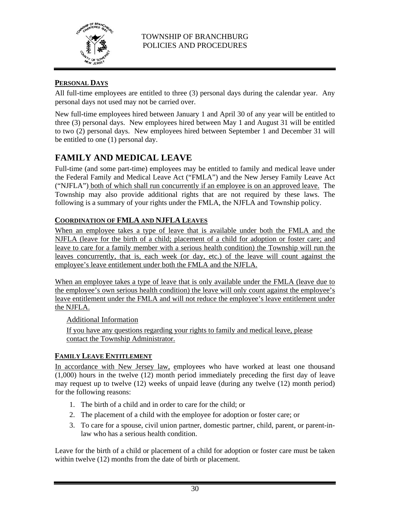

# **PERSONAL DAYS**

All full-time employees are entitled to three (3) personal days during the calendar year. Any personal days not used may not be carried over.

New full-time employees hired between January 1 and April 30 of any year will be entitled to three (3) personal days. New employees hired between May 1 and August 31 will be entitled to two (2) personal days. New employees hired between September 1 and December 31 will be entitled to one (1) personal day.

# **FAMILY AND MEDICAL LEAVE**

Full-time (and some part-time) employees may be entitled to family and medical leave under the Federal Family and Medical Leave Act ("FMLA") and the New Jersey Family Leave Act ("NJFLA") both of which shall run concurrently if an employee is on an approved leave. The Township may also provide additional rights that are not required by these laws. The following is a summary of your rights under the FMLA, the NJFLA and Township policy.

# **COORDINATION OF FMLA AND NJFLA LEAVES**

When an employee takes a type of leave that is available under both the FMLA and the NJFLA (leave for the birth of a child; placement of a child for adoption or foster care; and leave to care for a family member with a serious health condition) the Township will run the leaves concurrently, that is, each week (or day, etc.) of the leave will count against the employee's leave entitlement under both the FMLA and the NJFLA.

When an employee takes a type of leave that is only available under the FMLA (leave due to the employee's own serious health condition) the leave will only count against the employee's leave entitlement under the FMLA and will not reduce the employee's leave entitlement under the NJFLA.

Additional Information

If you have any questions regarding your rights to family and medical leave, please contact the Township Administrator.

### **FAMILY LEAVE ENTITLEMENT**

In accordance with New Jersey law, employees who have worked at least one thousand (1,000) hours in the twelve (12) month period immediately preceding the first day of leave may request up to twelve (12) weeks of unpaid leave (during any twelve (12) month period) for the following reasons:

- 1. The birth of a child and in order to care for the child; or
- 2. The placement of a child with the employee for adoption or foster care; or
- 3. To care for a spouse, civil union partner, domestic partner, child, parent, or parent-inlaw who has a serious health condition.

Leave for the birth of a child or placement of a child for adoption or foster care must be taken within twelve (12) months from the date of birth or placement.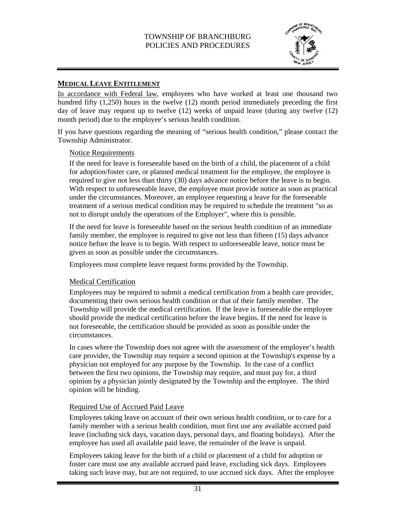

#### **MEDICAL LEAVE ENTITLEMENT**

In accordance with Federal law, employees who have worked at least one thousand two hundred fifty (1,250) hours in the twelve (12) month period immediately preceding the first day of leave may request up to twelve (12) weeks of unpaid leave (during any twelve (12) month period) due to the employee's serious health condition.

If you have questions regarding the meaning of "serious health condition," please contact the Township Administrator.

#### Notice Requirements

If the need for leave is foreseeable based on the birth of a child, the placement of a child for adoption/foster care, or planned medical treatment for the employee, the employee is required to give not less than thirty (30) days advance notice before the leave is to begin. With respect to unforeseeable leave, the employee must provide notice as soon as practical under the circumstances. Moreover, an employee requesting a leave for the foreseeable treatment of a serious medical condition may be required to schedule the treatment "so as not to disrupt unduly the operations of the Employer", where this is possible.

If the need for leave is foreseeable based on the serious health condition of an immediate family member, the employee is required to give not less than fifteen (15) days advance notice before the leave is to begin. With respect to unforeseeable leave, notice must be given as soon as possible under the circumstances.

Employees must complete leave request forms provided by the Township.

#### Medical Certification

Employees may be required to submit a medical certification from a health care provider, documenting their own serious health condition or that of their family member. The Township will provide the medical certification. If the leave is foreseeable the employee should provide the medical certification before the leave begins. If the need for leave is not foreseeable, the certification should be provided as soon as possible under the circumstances.

In cases where the Township does not agree with the assessment of the employee's health care provider, the Township may require a second opinion at the Township's expense by a physician not employed for any purpose by the Township. In the case of a conflict between the first two opinions, the Township may require, and must pay for, a third opinion by a physician jointly designated by the Township and the employee. The third opinion will be binding.

#### Required Use of Accrued Paid Leave

Employees taking leave on account of their own serious health condition, or to care for a family member with a serious health condition, must first use any available accrued paid leave (including sick days, vacation days, personal days, and floating holidays). After the employee has used all available paid leave, the remainder of the leave is unpaid.

Employees taking leave for the birth of a child or placement of a child for adoption or foster care must use any available accrued paid leave, excluding sick days. Employees taking such leave may, but are not required, to use accrued sick days. After the employee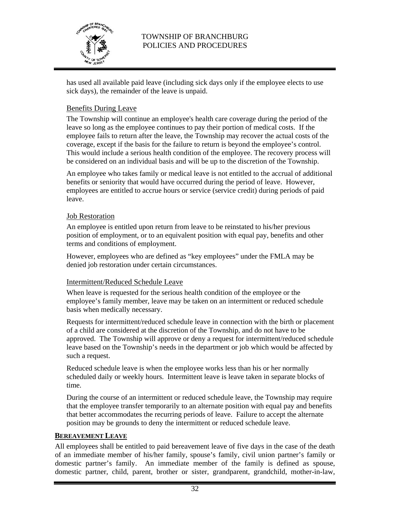

has used all available paid leave (including sick days only if the employee elects to use sick days), the remainder of the leave is unpaid.

# Benefits During Leave

The Township will continue an employee's health care coverage during the period of the leave so long as the employee continues to pay their portion of medical costs. If the employee fails to return after the leave, the Township may recover the actual costs of the coverage, except if the basis for the failure to return is beyond the employee's control. This would include a serious health condition of the employee. The recovery process will be considered on an individual basis and will be up to the discretion of the Township.

An employee who takes family or medical leave is not entitled to the accrual of additional benefits or seniority that would have occurred during the period of leave. However, employees are entitled to accrue hours or service (service credit) during periods of paid leave.

#### Job Restoration

An employee is entitled upon return from leave to be reinstated to his/her previous position of employment, or to an equivalent position with equal pay, benefits and other terms and conditions of employment.

However, employees who are defined as "key employees" under the FMLA may be denied job restoration under certain circumstances.

### Intermittent/Reduced Schedule Leave

When leave is requested for the serious health condition of the employee or the employee's family member, leave may be taken on an intermittent or reduced schedule basis when medically necessary.

Requests for intermittent/reduced schedule leave in connection with the birth or placement of a child are considered at the discretion of the Township, and do not have to be approved. The Township will approve or deny a request for intermittent/reduced schedule leave based on the Township's needs in the department or job which would be affected by such a request.

Reduced schedule leave is when the employee works less than his or her normally scheduled daily or weekly hours. Intermittent leave is leave taken in separate blocks of time.

During the course of an intermittent or reduced schedule leave, the Township may require that the employee transfer temporarily to an alternate position with equal pay and benefits that better accommodates the recurring periods of leave. Failure to accept the alternate position may be grounds to deny the intermittent or reduced schedule leave.

#### **BEREAVEMENT LEAVE**

All employees shall be entitled to paid bereavement leave of five days in the case of the death of an immediate member of his/her family, spouse's family, civil union partner's family or domestic partner's family. An immediate member of the family is defined as spouse, domestic partner, child, parent, brother or sister, grandparent, grandchild, mother-in-law,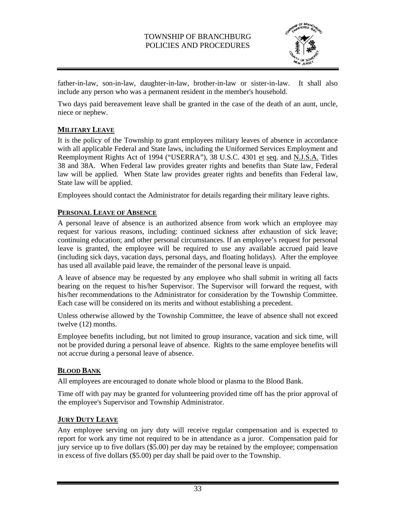

father-in-law, son-in-law, daughter-in-law, brother-in-law or sister-in-law. It shall also include any person who was a permanent resident in the member's household.

Two days paid bereavement leave shall be granted in the case of the death of an aunt, uncle, niece or nephew.

# **MILITARY LEAVE**

It is the policy of the Township to grant employees military leaves of absence in accordance with all applicable Federal and State laws, including the Uniformed Services Employment and Reemployment Rights Act of 1994 ("USERRA"), 38 U.S.C. 4301 et seq. and N.J.S.A. Titles 38 and 38A. When Federal law provides greater rights and benefits than State law, Federal law will be applied. When State law provides greater rights and benefits than Federal law, State law will be applied.

Employees should contact the Administrator for details regarding their military leave rights.

### **PERSONAL LEAVE OF ABSENCE**

A personal leave of absence is an authorized absence from work which an employee may request for various reasons, including: continued sickness after exhaustion of sick leave; continuing education; and other personal circumstances. If an employee's request for personal leave is granted, the employee will be required to use any available accrued paid leave (including sick days, vacation days, personal days, and floating holidays). After the employee has used all available paid leave, the remainder of the personal leave is unpaid.

A leave of absence may be requested by any employee who shall submit in writing all facts bearing on the request to his/her Supervisor. The Supervisor will forward the request, with his/her recommendations to the Administrator for consideration by the Township Committee. Each case will be considered on its merits and without establishing a precedent.

Unless otherwise allowed by the Township Committee, the leave of absence shall not exceed twelve (12) months.

Employee benefits including, but not limited to group insurance, vacation and sick time, will not be provided during a personal leave of absence. Rights to the same employee benefits will not accrue during a personal leave of absence.

### **BLOOD BANK**

All employees are encouraged to donate whole blood or plasma to the Blood Bank.

Time off with pay may be granted for volunteering provided time off has the prior approval of the employee's Supervisor and Township Administrator.

### **JURY DUTY LEAVE**

Any employee serving on jury duty will receive regular compensation and is expected to report for work any time not required to be in attendance as a juror. Compensation paid for jury service up to five dollars (\$5.00) per day may be retained by the employee; compensation in excess of five dollars (\$5.00) per day shall be paid over to the Township.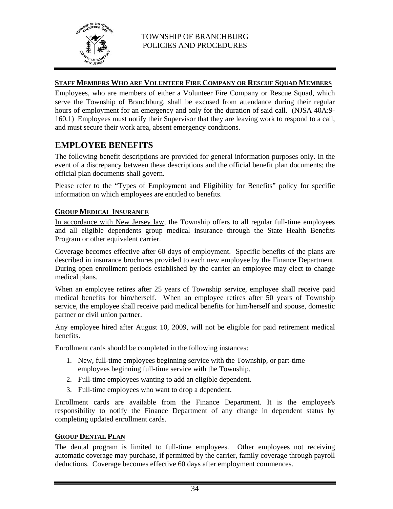

#### **STAFF MEMBERS WHO ARE VOLUNTEER FIRE COMPANY OR RESCUE SQUAD MEMBERS**

Employees, who are members of either a Volunteer Fire Company or Rescue Squad, which serve the Township of Branchburg, shall be excused from attendance during their regular hours of employment for an emergency and only for the duration of said call. (NJSA 40A:9-160.1) Employees must notify their Supervisor that they are leaving work to respond to a call, and must secure their work area, absent emergency conditions.

# **EMPLOYEE BENEFITS**

The following benefit descriptions are provided for general information purposes only. In the event of a discrepancy between these descriptions and the official benefit plan documents; the official plan documents shall govern.

Please refer to the "Types of Employment and Eligibility for Benefits" policy for specific information on which employees are entitled to benefits.

#### **GROUP MEDICAL INSURANCE**

In accordance with New Jersey law, the Township offers to all regular full-time employees and all eligible dependents group medical insurance through the State Health Benefits Program or other equivalent carrier.

Coverage becomes effective after 60 days of employment. Specific benefits of the plans are described in insurance brochures provided to each new employee by the Finance Department. During open enrollment periods established by the carrier an employee may elect to change medical plans.

When an employee retires after 25 years of Township service, employee shall receive paid medical benefits for him/herself. When an employee retires after 50 years of Township service, the employee shall receive paid medical benefits for him/herself and spouse, domestic partner or civil union partner.

Any employee hired after August 10, 2009, will not be eligible for paid retirement medical benefits.

Enrollment cards should be completed in the following instances:

- 1. New, full-time employees beginning service with the Township, or part-time employees beginning full-time service with the Township.
- 2. Full-time employees wanting to add an eligible dependent.
- 3. Full-time employees who want to drop a dependent.

Enrollment cards are available from the Finance Department. It is the employee's responsibility to notify the Finance Department of any change in dependent status by completing updated enrollment cards.

#### **GROUP DENTAL PLAN**

The dental program is limited to full-time employees. Other employees not receiving automatic coverage may purchase, if permitted by the carrier, family coverage through payroll deductions. Coverage becomes effective 60 days after employment commences.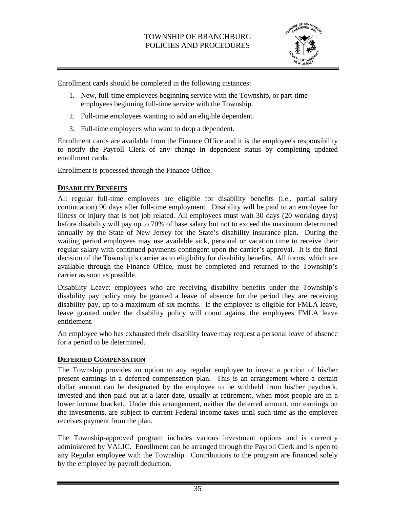

Enrollment cards should be completed in the following instances:

- 1. New, full-time employees beginning service with the Township, or part-time employees beginning full-time service with the Township.
- 2. Full-time employees wanting to add an eligible dependent.
- 3. Full-time employees who want to drop a dependent.

Enrollment cards are available from the Finance Office and it is the employee's responsibility to notify the Payroll Clerk of any change in dependent status by completing updated enrollment cards.

Enrollment is processed through the Finance Office.

#### **DISABILITY BENEFITS**

All regular full-time employees are eligible for disability benefits (i.e., partial salary continuation) 90 days after full-time employment. Disability will be paid to an employee for illness or injury that is not job related. All employees must wait 30 days (20 working days) before disability will pay up to 70% of base salary but not to exceed the maximum determined annually by the State of New Jersey for the State's disability insurance plan. During the waiting period employees may use available sick, personal or vacation time to receive their regular salary with continued payments contingent upon the carrier's approval. It is the final decision of the Township's carrier as to eligibility for disability benefits. All forms, which are available through the Finance Office, must be completed and returned to the Township's carrier as soon as possible.

Disability Leave: employees who are receiving disability benefits under the Township's disability pay policy may be granted a leave of absence for the period they are receiving disability pay, up to a maximum of six months. If the employee is eligible for FMLA leave, leave granted under the disability policy will count against the employees FMLA leave entitlement.

An employee who has exhausted their disability leave may request a personal leave of absence for a period to be determined.

#### **DEFERRED COMPENSATION**

The Township provides an option to any regular employee to invest a portion of his/her present earnings in a deferred compensation plan. This is an arrangement where a certain dollar amount can be designated by the employee to be withheld from his/her paycheck, invested and then paid out at a later date, usually at retirement, when most people are in a lower income bracket. Under this arrangement, neither the deferred amount, nor earnings on the investments, are subject to current Federal income taxes until such time as the employee receives payment from the plan.

The Township-approved program includes various investment options and is currently administered by VALIC. Enrollment can be arranged through the Payroll Clerk and is open to any Regular employee with the Township. Contributions to the program are financed solely by the employee by payroll deduction.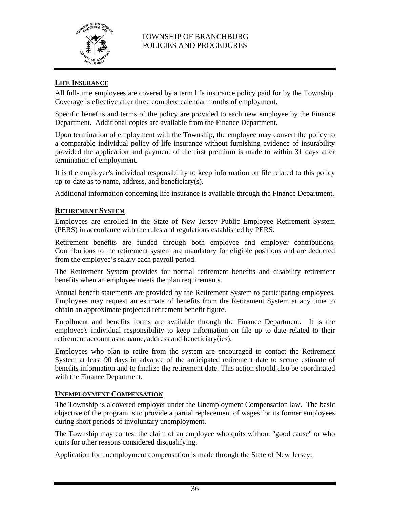

#### **LIFE INSURANCE**

All full-time employees are covered by a term life insurance policy paid for by the Township. Coverage is effective after three complete calendar months of employment.

Specific benefits and terms of the policy are provided to each new employee by the Finance Department. Additional copies are available from the Finance Department.

Upon termination of employment with the Township, the employee may convert the policy to a comparable individual policy of life insurance without furnishing evidence of insurability provided the application and payment of the first premium is made to within 31 days after termination of employment.

It is the employee's individual responsibility to keep information on file related to this policy up-to-date as to name, address, and beneficiary(s).

Additional information concerning life insurance is available through the Finance Department.

#### **RETIREMENT SYSTEM**

Employees are enrolled in the State of New Jersey Public Employee Retirement System (PERS) in accordance with the rules and regulations established by PERS.

Retirement benefits are funded through both employee and employer contributions. Contributions to the retirement system are mandatory for eligible positions and are deducted from the employee's salary each payroll period.

The Retirement System provides for normal retirement benefits and disability retirement benefits when an employee meets the plan requirements.

Annual benefit statements are provided by the Retirement System to participating employees. Employees may request an estimate of benefits from the Retirement System at any time to obtain an approximate projected retirement benefit figure.

Enrollment and benefits forms are available through the Finance Department. It is the employee's individual responsibility to keep information on file up to date related to their retirement account as to name, address and beneficiary(ies).

Employees who plan to retire from the system are encouraged to contact the Retirement System at least 90 days in advance of the anticipated retirement date to secure estimate of benefits information and to finalize the retirement date. This action should also be coordinated with the Finance Department.

#### **UNEMPLOYMENT COMPENSATION**

The Township is a covered employer under the Unemployment Compensation law. The basic objective of the program is to provide a partial replacement of wages for its former employees during short periods of involuntary unemployment.

The Township may contest the claim of an employee who quits without "good cause" or who quits for other reasons considered disqualifying.

Application for unemployment compensation is made through the State of New Jersey.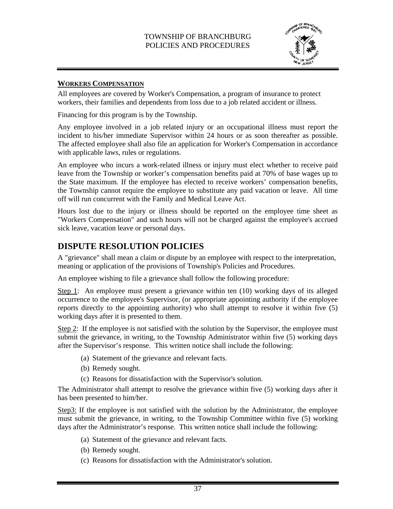

#### **WORKERS COMPENSATION**

All employees are covered by Worker's Compensation, a program of insurance to protect workers, their families and dependents from loss due to a job related accident or illness.

Financing for this program is by the Township.

Any employee involved in a job related injury or an occupational illness must report the incident to his/her immediate Supervisor within 24 hours or as soon thereafter as possible. The affected employee shall also file an application for Worker's Compensation in accordance with applicable laws, rules or regulations.

An employee who incurs a work-related illness or injury must elect whether to receive paid leave from the Township or worker's compensation benefits paid at 70% of base wages up to the State maximum. If the employee has elected to receive workers' compensation benefits, the Township cannot require the employee to substitute any paid vacation or leave. All time off will run concurrent with the Family and Medical Leave Act.

Hours lost due to the injury or illness should be reported on the employee time sheet as "Workers Compensation" and such hours will not be charged against the employee's accrued sick leave, vacation leave or personal days.

# **DISPUTE RESOLUTION POLICIES**

A "grievance" shall mean a claim or dispute by an employee with respect to the interpretation, meaning or application of the provisions of Township's Policies and Procedures.

An employee wishing to file a grievance shall follow the following procedure:

Step 1: An employee must present a grievance within ten (10) working days of its alleged occurrence to the employee's Supervisor, (or appropriate appointing authority if the employee reports directly to the appointing authority) who shall attempt to resolve it within five (5) working days after it is presented to them.

Step 2: If the employee is not satisfied with the solution by the Supervisor, the employee must submit the grievance, in writing, to the Township Administrator within five (5) working days after the Supervisor's response. This written notice shall include the following:

- (a) Statement of the grievance and relevant facts.
- (b) Remedy sought.
- (c) Reasons for dissatisfaction with the Supervisor's solution.

The Administrator shall attempt to resolve the grievance within five (5) working days after it has been presented to him/her.

Step3: If the employee is not satisfied with the solution by the Administrator, the employee must submit the grievance, in writing, to the Township Committee within five (5) working days after the Administrator's response. This written notice shall include the following:

- (a) Statement of the grievance and relevant facts.
- (b) Remedy sought.
- (c) Reasons for dissatisfaction with the Administrator's solution.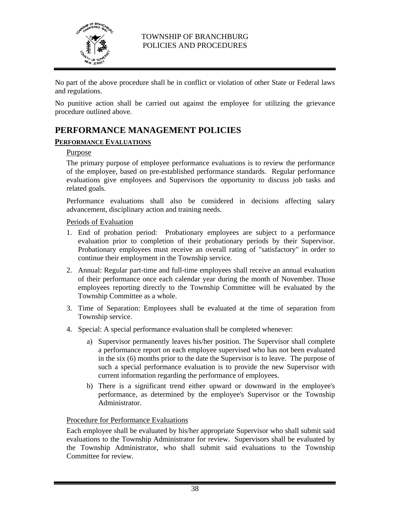

No part of the above procedure shall be in conflict or violation of other State or Federal laws and regulations.

No punitive action shall be carried out against the employee for utilizing the grievance procedure outlined above.

# **PERFORMANCE MANAGEMENT POLICIES**

### **PERFORMANCE EVALUATIONS**

#### Purpose

The primary purpose of employee performance evaluations is to review the performance of the employee, based on pre-established performance standards. Regular performance evaluations give employees and Supervisors the opportunity to discuss job tasks and related goals.

Performance evaluations shall also be considered in decisions affecting salary advancement, disciplinary action and training needs.

#### Periods of Evaluation

- 1. End of probation period: Probationary employees are subject to a performance evaluation prior to completion of their probationary periods by their Supervisor. Probationary employees must receive an overall rating of "satisfactory" in order to continue their employment in the Township service.
- 2. Annual: Regular part-time and full-time employees shall receive an annual evaluation of their performance once each calendar year during the month of November. Those employees reporting directly to the Township Committee will be evaluated by the Township Committee as a whole.
- 3. Time of Separation: Employees shall be evaluated at the time of separation from Township service.
- 4. Special: A special performance evaluation shall be completed whenever:
	- a) Supervisor permanently leaves his/her position. The Supervisor shall complete a performance report on each employee supervised who has not been evaluated in the six (6) months prior to the date the Supervisor is to leave. The purpose of such a special performance evaluation is to provide the new Supervisor with current information regarding the performance of employees.
	- b) There is a significant trend either upward or downward in the employee's performance, as determined by the employee's Supervisor or the Township Administrator.

### Procedure for Performance Evaluations

Each employee shall be evaluated by his/her appropriate Supervisor who shall submit said evaluations to the Township Administrator for review. Supervisors shall be evaluated by the Township Administrator, who shall submit said evaluations to the Township Committee for review.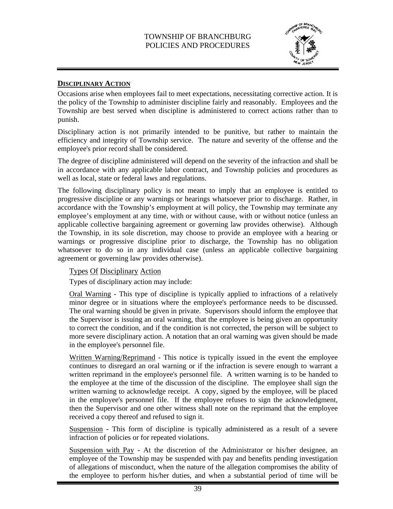

#### **DISCIPLINARY ACTION**

Occasions arise when employees fail to meet expectations, necessitating corrective action. It is the policy of the Township to administer discipline fairly and reasonably. Employees and the Township are best served when discipline is administered to correct actions rather than to punish.

Disciplinary action is not primarily intended to be punitive, but rather to maintain the efficiency and integrity of Township service. The nature and severity of the offense and the employee's prior record shall be considered.

The degree of discipline administered will depend on the severity of the infraction and shall be in accordance with any applicable labor contract, and Township policies and procedures as well as local, state or federal laws and regulations.

The following disciplinary policy is not meant to imply that an employee is entitled to progressive discipline or any warnings or hearings whatsoever prior to discharge. Rather, in accordance with the Township's employment at will policy, the Township may terminate any employee's employment at any time, with or without cause, with or without notice (unless an applicable collective bargaining agreement or governing law provides otherwise). Although the Township, in its sole discretion, may choose to provide an employee with a hearing or warnings or progressive discipline prior to discharge, the Township has no obligation whatsoever to do so in any individual case (unless an applicable collective bargaining agreement or governing law provides otherwise).

Types Of Disciplinary Action

Types of disciplinary action may include:

Oral Warning - This type of discipline is typically applied to infractions of a relatively minor degree or in situations where the employee's performance needs to be discussed. The oral warning should be given in private. Supervisors should inform the employee that the Supervisor is issuing an oral warning, that the employee is being given an opportunity to correct the condition, and if the condition is not corrected, the person will be subject to more severe disciplinary action. A notation that an oral warning was given should be made in the employee's personnel file.

Written Warning/Reprimand - This notice is typically issued in the event the employee continues to disregard an oral warning or if the infraction is severe enough to warrant a written reprimand in the employee's personnel file. A written warning is to be handed to the employee at the time of the discussion of the discipline. The employee shall sign the written warning to acknowledge receipt. A copy, signed by the employee, will be placed in the employee's personnel file. If the employee refuses to sign the acknowledgment, then the Supervisor and one other witness shall note on the reprimand that the employee received a copy thereof and refused to sign it.

Suspension - This form of discipline is typically administered as a result of a severe infraction of policies or for repeated violations.

Suspension with Pay - At the discretion of the Administrator or his/her designee, an employee of the Township may be suspended with pay and benefits pending investigation of allegations of misconduct, when the nature of the allegation compromises the ability of the employee to perform his/her duties, and when a substantial period of time will be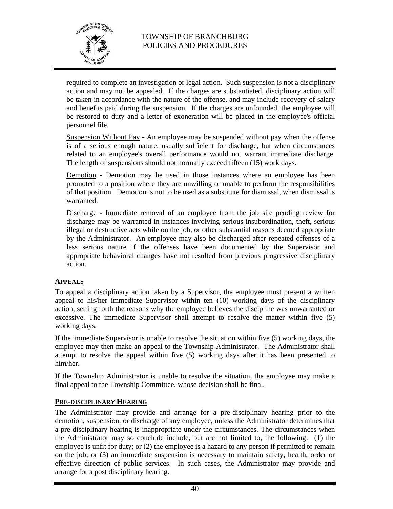

required to complete an investigation or legal action. Such suspension is not a disciplinary action and may not be appealed. If the charges are substantiated, disciplinary action will be taken in accordance with the nature of the offense, and may include recovery of salary and benefits paid during the suspension. If the charges are unfounded, the employee will be restored to duty and a letter of exoneration will be placed in the employee's official personnel file.

Suspension Without Pay - An employee may be suspended without pay when the offense is of a serious enough nature, usually sufficient for discharge, but when circumstances related to an employee's overall performance would not warrant immediate discharge. The length of suspensions should not normally exceed fifteen (15) work days.

Demotion - Demotion may be used in those instances where an employee has been promoted to a position where they are unwilling or unable to perform the responsibilities of that position. Demotion is not to be used as a substitute for dismissal, when dismissal is warranted.

Discharge - Immediate removal of an employee from the job site pending review for discharge may be warranted in instances involving serious insubordination, theft, serious illegal or destructive acts while on the job, or other substantial reasons deemed appropriate by the Administrator. An employee may also be discharged after repeated offenses of a less serious nature if the offenses have been documented by the Supervisor and appropriate behavioral changes have not resulted from previous progressive disciplinary action.

### **APPEALS**

To appeal a disciplinary action taken by a Supervisor, the employee must present a written appeal to his/her immediate Supervisor within ten (10) working days of the disciplinary action, setting forth the reasons why the employee believes the discipline was unwarranted or excessive. The immediate Supervisor shall attempt to resolve the matter within five (5) working days.

If the immediate Supervisor is unable to resolve the situation within five (5) working days, the employee may then make an appeal to the Township Administrator. The Administrator shall attempt to resolve the appeal within five (5) working days after it has been presented to him/her.

If the Township Administrator is unable to resolve the situation, the employee may make a final appeal to the Township Committee, whose decision shall be final.

#### **PRE-DISCIPLINARY HEARING**

The Administrator may provide and arrange for a pre-disciplinary hearing prior to the demotion, suspension, or discharge of any employee, unless the Administrator determines that a pre-disciplinary hearing is inappropriate under the circumstances. The circumstances when the Administrator may so conclude include, but are not limited to, the following: (1) the employee is unfit for duty; or (2) the employee is a hazard to any person if permitted to remain on the job; or (3) an immediate suspension is necessary to maintain safety, health, order or effective direction of public services. In such cases, the Administrator may provide and arrange for a post disciplinary hearing.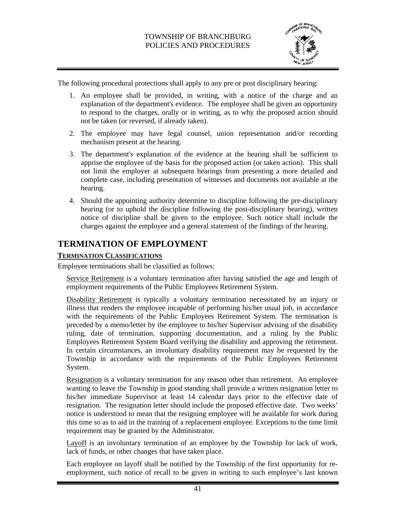

The following procedural protections shall apply to any pre or post disciplinary hearing:

- 1. An employee shall be provided, in writing, with a notice of the charge and an explanation of the department's evidence. The employee shall be given an opportunity to respond to the charges, orally or in writing, as to why the proposed action should not be taken (or reversed, if already taken).
- 2. The employee may have legal counsel, union representation and/or recording mechanism present at the hearing.
- 3. The department's explanation of the evidence at the hearing shall be sufficient to apprise the employee of the basis for the proposed action (or taken action). This shall not limit the employer at subsequent hearings from presenting a more detailed and complete case, including presentation of witnesses and documents not available at the hearing.
- 4. Should the appointing authority determine to discipline following the pre-disciplinary hearing (or to uphold the discipline following the post-disciplinary hearing), written notice of discipline shall be given to the employee. Such notice shall include the charges against the employee and a general statement of the findings of the hearing.

# **TERMINATION OF EMPLOYMENT**

### **TERMINATION CLASSIFICATIONS**

Employee terminations shall be classified as follows:

Service Retirement is a voluntary termination after having satisfied the age and length of employment requirements of the Public Employees Retirement System.

Disability Retirement is typically a voluntary termination necessitated by an injury or illness that renders the employee incapable of performing his/her usual job, in accordance with the requirements of the Public Employees Retirement System. The termination is preceded by a memo/letter by the employee to his/her Supervisor advising of the disability ruling, date of termination, supporting documentation, and a ruling by the Public Employees Retirement System Board verifying the disability and approving the retirement. In certain circumstances, an involuntary disability requirement may be requested by the Township in accordance with the requirements of the Public Employees Retirement System.

Resignation is a voluntary termination for any reason other than retirement. An employee wanting to leave the Township in good standing shall provide a written resignation letter to his/her immediate Supervisor at least 14 calendar days prior to the effective date of resignation. The resignation letter should include the proposed effective date. Two weeks' notice is understood to mean that the resigning employee will be available for work during this time so as to aid in the training of a replacement employee. Exceptions to the time limit requirement may be granted by the Administrator.

Layoff is an involuntary termination of an employee by the Township for lack of work, lack of funds, or other changes that have taken place.

Each employee on layoff shall be notified by the Township of the first opportunity for reemployment, such notice of recall to be given in writing to such employee's last known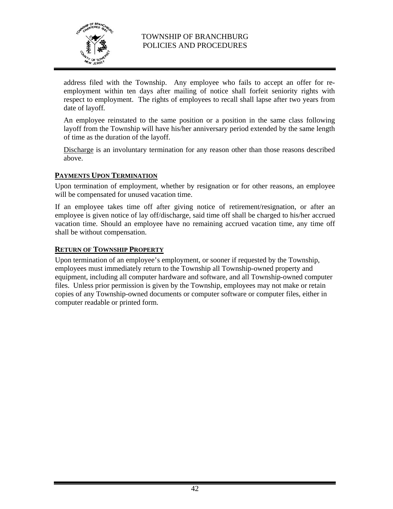

address filed with the Township. Any employee who fails to accept an offer for reemployment within ten days after mailing of notice shall forfeit seniority rights with respect to employment. The rights of employees to recall shall lapse after two years from date of layoff*.* 

An employee reinstated to the same position or a position in the same class following layoff from the Township will have his/her anniversary period extended by the same length of time as the duration of the layoff.

Discharge is an involuntary termination for any reason other than those reasons described above.

### **PAYMENTS UPON TERMINATION**

Upon termination of employment, whether by resignation or for other reasons, an employee will be compensated for unused vacation time.

If an employee takes time off after giving notice of retirement/resignation, or after an employee is given notice of lay off/discharge, said time off shall be charged to his/her accrued vacation time. Should an employee have no remaining accrued vacation time, any time off shall be without compensation.

#### **RETURN OF TOWNSHIP PROPERTY**

Upon termination of an employee's employment, or sooner if requested by the Township, employees must immediately return to the Township all Township-owned property and equipment, including all computer hardware and software, and all Township-owned computer files. Unless prior permission is given by the Township, employees may not make or retain copies of any Township-owned documents or computer software or computer files, either in computer readable or printed form.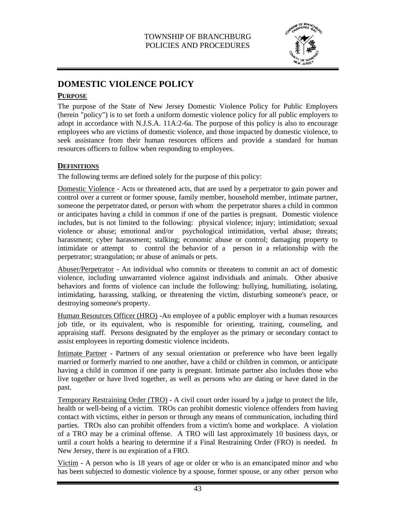

# **DOMESTIC VIOLENCE POLICY**

#### **PURPOSE**

The purpose of the State of New Jersey Domestic Violence Policy for Public Employers (herein "policy") is to set forth a uniform domestic violence policy for all public employers to adopt in accordance with N.J.S.A. 11A:2-6a. The purpose of this policy is also to encourage employees who are victims of domestic violence, and those impacted by domestic violence, to seek assistance from their human resources officers and provide a standard for human resources officers to follow when responding to employees.

# **DEFINITIONS**

The following terms are defined solely for the purpose of this policy:

Domestic Violence - Acts or threatened acts, that are used by a perpetrator to gain power and control over a current or former spouse, family member, household member, intimate partner, someone the perpetrator dated, or person with whom the perpetrator shares a child in common or anticipates having a child in common if one of the parties is pregnant. Domestic violence includes, but is not limited to the following: physical violence; injury; intimidation; sexual violence or abuse; emotional and/or psychological intimidation, verbal abuse; threats; harassment; cyber harassment; stalking; economic abuse or control; damaging property to intimidate or attempt to control the behavior of a person in a relationship with the perpetrator; strangulation; or abuse of animals or pets.

Abuser/Perpetrator - An individual who commits or threatens to commit an act of domestic violence, including unwarranted violence against individuals and animals. Other abusive behaviors and forms of violence can include the following: bullying, humiliating, isolating, intimidating, harassing, stalking, or threatening the victim, disturbing someone's peace, or destroying someone's property.

Human Resources Officer (HRO) -An employee of a public employer with a human resources job title, or its equivalent, who is responsible for orienting, training, counseling, and appraising staff. Persons designated by the employer as the primary or secondary contact to assist employees in reporting domestic violence incidents.

Intimate Partner - Partners of any sexual orientation or preference who have been legally married or formerly married to one another, have a child or children in common, or anticipate having a child in common if one party is pregnant. Intimate partner also includes those who live together or have lived together, as well as persons who are dating or have dated in the past.

Temporary Restraining Order (TRO) - A civil court order issued by a judge to protect the life, health or well-being of a victim. TROs can prohibit domestic violence offenders from having contact with victims, either in person or through any means of communication, including third parties. TROs also can prohibit offenders from a victim's home and workplace. A violation of a TRO may be a criminal offense. A TRO will last approximately 10 business days, or until a court holds a hearing to determine if a Final Restraining Order (FRO) is needed. In New Jersey, there is no expiration of a FRO.

Victim - A person who is 18 years of age or older or who is an emancipated minor and who has been subjected to domestic violence by a spouse, former spouse, or any other person who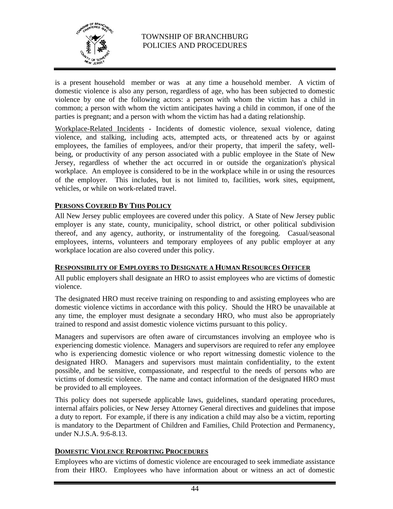

is a present household member or was at any time a household member. A victim of domestic violence is also any person, regardless of age, who has been subjected to domestic violence by one of the following actors: a person with whom the victim has a child in common; a person with whom the victim anticipates having a child in common, if one of the parties is pregnant; and a person with whom the victim has had a dating relationship.

Workplace-Related Incidents - Incidents of domestic violence, sexual violence, dating violence, and stalking, including acts, attempted acts, or threatened acts by or against employees, the families of employees, and/or their property, that imperil the safety, wellbeing, or productivity of any person associated with a public employee in the State of New Jersey, regardless of whether the act occurred in or outside the organization's physical workplace. An employee is considered to be in the workplace while in or using the resources of the employer. This includes, but is not limited to, facilities, work sites, equipment, vehicles, or while on work-related travel.

#### **PERSONS COVERED BY THIS POLICY**

All New Jersey public employees are covered under this policy. A State of New Jersey public employer is any state, county, municipality, school district, or other political subdivision thereof, and any agency, authority, or instrumentality of the foregoing. Casual/seasonal employees, interns, volunteers and temporary employees of any public employer at any workplace location are also covered under this policy.

#### **RESPONSIBILITY OF EMPLOYERS TO DESIGNATE A HUMAN RESOURCES OFFICER**

All public employers shall designate an HRO to assist employees who are victims of domestic violence.

The designated HRO must receive training on responding to and assisting employees who are domestic violence victims in accordance with this policy. Should the HRO be unavailable at any time, the employer must designate a secondary HRO, who must also be appropriately trained to respond and assist domestic violence victims pursuant to this policy.

Managers and supervisors are often aware of circumstances involving an employee who is experiencing domestic violence. Managers and supervisors are required to refer any employee who is experiencing domestic violence or who report witnessing domestic violence to the designated HRO. Managers and supervisors must maintain confidentiality, to the extent possible, and be sensitive, compassionate, and respectful to the needs of persons who are victims of domestic violence. The name and contact information of the designated HRO must be provided to all employees.

This policy does not supersede applicable laws, guidelines, standard operating procedures, internal affairs policies, or New Jersey Attorney General directives and guidelines that impose a duty to report. For example, if there is any indication a child may also be a victim, reporting is mandatory to the Department of Children and Families, Child Protection and Permanency, under N.J.S.A. 9:6-8.13.

### **DOMESTIC VIOLENCE REPORTING PROCEDURES**

Employees who are victims of domestic violence are encouraged to seek immediate assistance from their HRO. Employees who have information about or witness an act of domestic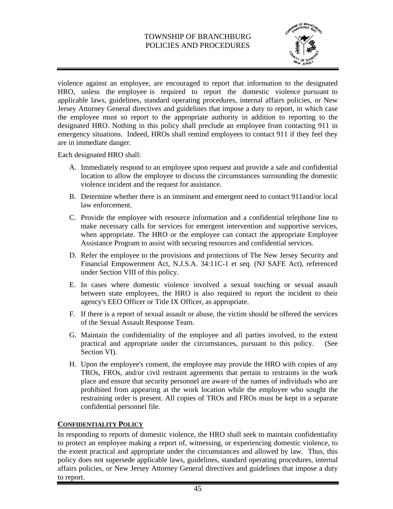

violence against an employee, are encouraged to report that information to the designated HRO, unless the employee is required to report the domestic violence pursuant to applicable laws, guidelines, standard operating procedures, internal affairs policies, or New Jersey Attorney General directives and guidelines that impose a duty to report, in which case the employee must so report to the appropriate authority in addition to reporting to the designated HRO. Nothing in this policy shall preclude an employee from contacting 911 in emergency situations. Indeed, HROs shall remind employees to contact 911 if they feel they are in immediate danger.

Each designated HRO shall:

- A. Immediately respond to an employee upon request and provide a safe and confidential location to allow the employee to discuss the circumstances surrounding the domestic violence incident and the request for assistance.
- B. Determine whether there is an imminent and emergent need to contact 911and/or local law enforcement.
- C. Provide the employee with resource information and a confidential telephone line to make necessary calls for services for emergent intervention and supportive services, when appropriate. The HRO or the employee can contact the appropriate Employee Assistance Program to assist with securing resources and confidential services.
- D. Refer the employee to the provisions and protections of The New Jersey Security and Financial Empowerment Act, N.J.S.A. 34:11C-1 et seq. (NJ SAFE Act), referenced under Section VIII of this policy.
- E. In cases where domestic violence involved a sexual touching or sexual assault between state employees, the HRO is also required to report the incident to their agency's EEO Officer or Title IX Officer, as appropriate.
- F. If there is a report of sexual assault or abuse, the victim should be offered the services of the Sexual Assault Response Team.
- G. Maintain the confidentiality of the employee and all parties involved, to the extent practical and appropriate under the circumstances, pursuant to this policy. (See Section VI).
- H. Upon the employee's consent, the employee may provide the HRO with copies of any TROs, FROs, and/or civil restraint agreements that pertain to restraints in the work place and ensure that security personnel are aware of the names of individuals who are prohibited from appearing at the work location while the employee who sought the restraining order is present. All copies of TROs and FROs must be kept in a separate confidential personnel file.

### **CONFIDENTIALITY POLICY**

In responding to reports of domestic violence, the HRO shall seek to maintain confidentiality to protect an employee making a report of, witnessing, or experiencing domestic violence, to the extent practical and appropriate under the circumstances and allowed by law. Thus, this policy does not supersede applicable laws, guidelines, standard operating procedures, internal affairs policies, or New Jersey Attorney General directives and guidelines that impose a duty to report.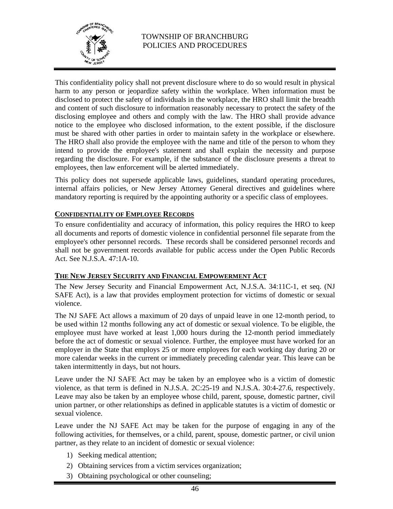

This confidentiality policy shall not prevent disclosure where to do so would result in physical harm to any person or jeopardize safety within the workplace. When information must be disclosed to protect the safety of individuals in the workplace, the HRO shall limit the breadth and content of such disclosure to information reasonably necessary to protect the safety of the disclosing employee and others and comply with the law. The HRO shall provide advance notice to the employee who disclosed information, to the extent possible, if the disclosure must be shared with other parties in order to maintain safety in the workplace or elsewhere. The HRO shall also provide the employee with the name and title of the person to whom they intend to provide the employee's statement and shall explain the necessity and purpose regarding the disclosure. For example, if the substance of the disclosure presents a threat to employees, then law enforcement will be alerted immediately.

This policy does not supersede applicable laws, guidelines, standard operating procedures, internal affairs policies, or New Jersey Attorney General directives and guidelines where mandatory reporting is required by the appointing authority or a specific class of employees.

# **CONFIDENTIALITY OF EMPLOYEE RECORDS**

To ensure confidentiality and accuracy of information, this policy requires the HRO to keep all documents and reports of domestic violence in confidential personnel file separate from the employee's other personnel records. These records shall be considered personnel records and shall not be government records available for public access under the Open Public Records Act. See N.J.S.A. 47:1A-10.

#### **THE NEW JERSEY SECURITY AND FINANCIAL EMPOWERMENT ACT**

The New Jersey Security and Financial Empowerment Act, N.J.S.A. 34:11C-1, et seq. (NJ SAFE Act), is a law that provides employment protection for victims of domestic or sexual violence.

The NJ SAFE Act allows a maximum of 20 days of unpaid leave in one 12-month period, to be used within 12 months following any act of domestic or sexual violence. To be eligible, the employee must have worked at least 1,000 hours during the 12-month period immediately before the act of domestic or sexual violence. Further, the employee must have worked for an employer in the State that employs 25 or more employees for each working day during 20 or more calendar weeks in the current or immediately preceding calendar year. This leave can be taken intermittently in days, but not hours.

Leave under the NJ SAFE Act may be taken by an employee who is a victim of domestic violence, as that term is defined in N.J.S.A. 2C:25-19 and N.J.S.A. 30:4-27.6, respectively. Leave may also be taken by an employee whose child, parent, spouse, domestic partner, civil union partner, or other relationships as defined in applicable statutes is a victim of domestic or sexual violence.

Leave under the NJ SAFE Act may be taken for the purpose of engaging in any of the following activities, for themselves, or a child, parent, spouse, domestic partner, or civil union partner, as they relate to an incident of domestic or sexual violence:

- 1) Seeking medical attention;
- 2) Obtaining services from a victim services organization;
- 3) Obtaining psychological or other counseling;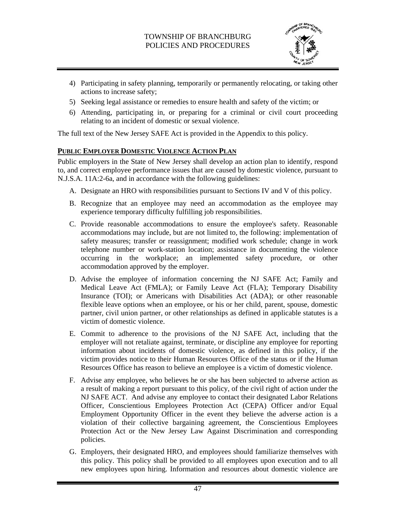

- 4) Participating in safety planning, temporarily or permanently relocating, or taking other actions to increase safety;
- 5) Seeking legal assistance or remedies to ensure health and safety of the victim; or
- 6) Attending, participating in, or preparing for a criminal or civil court proceeding relating to an incident of domestic or sexual violence.

The full text of the New Jersey SAFE Act is provided in the Appendix to this policy.

# **PUBLIC EMPLOYER DOMESTIC VIOLENCE ACTION PLAN**

Public employers in the State of New Jersey shall develop an action plan to identify, respond to, and correct employee performance issues that are caused by domestic violence, pursuant to N.J.S.A. 11A:2-6a, and in accordance with the following guidelines:

- A. Designate an HRO with responsibilities pursuant to Sections IV and V of this policy.
- B. Recognize that an employee may need an accommodation as the employee may experience temporary difficulty fulfilling job responsibilities.
- C. Provide reasonable accommodations to ensure the employee's safety. Reasonable accommodations may include, but are not limited to, the following: implementation of safety measures; transfer or reassignment; modified work schedule; change in work telephone number or work-station location; assistance in documenting the violence occurring in the workplace; an implemented safety procedure, or other accommodation approved by the employer.
- D. Advise the employee of information concerning the NJ SAFE Act; Family and Medical Leave Act (FMLA); or Family Leave Act (FLA); Temporary Disability Insurance (TOI); or Americans with Disabilities Act (ADA); or other reasonable flexible leave options when an employee, or his or her child, parent, spouse, domestic partner, civil union partner, or other relationships as defined in applicable statutes is a victim of domestic violence.
- E. Commit to adherence to the provisions of the NJ SAFE Act, including that the employer will not retaliate against, terminate, or discipline any employee for reporting information about incidents of domestic violence, as defined in this policy, if the victim provides notice to their Human Resources Office of the status or if the Human Resources Office has reason to believe an employee is a victim of domestic violence.
- F. Advise any employee, who believes he or she has been subjected to adverse action as a result of making a report pursuant to this policy, of the civil right of action under the NJ SAFE ACT. And advise any employee to contact their designated Labor Relations Officer, Conscientious Employees Protection Act (CEPA) Officer and/or Equal Employment Opportunity Officer in the event they believe the adverse action is a violation of their collective bargaining agreement, the Conscientious Employees Protection Act or the New Jersey Law Against Discrimination and corresponding policies.
- G. Employers, their designated HRO, and employees should familiarize themselves with this policy. This policy shall be provided to all employees upon execution and to all new employees upon hiring. Information and resources about domestic violence are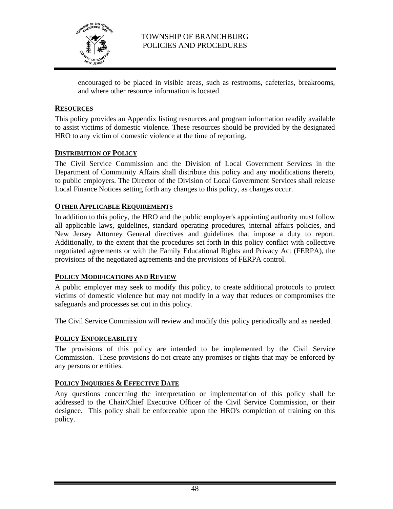

encouraged to be placed in visible areas, such as restrooms, cafeterias, breakrooms, and where other resource information is located.

#### **RESOURCES**

This policy provides an Appendix listing resources and program information readily available to assist victims of domestic violence. These resources should be provided by the designated HRO to any victim of domestic violence at the time of reporting.

#### **DISTRIBUTION OF POLICY**

The Civil Service Commission and the Division of Local Government Services in the Department of Community Affairs shall distribute this policy and any modifications thereto, to public employers. The Director of the Division of Local Government Services shall release Local Finance Notices setting forth any changes to this policy, as changes occur.

#### **OTHER APPLICABLE REQUIREMENTS**

In addition to this policy, the HRO and the public employer's appointing authority must follow all applicable laws, guidelines, standard operating procedures, internal affairs policies, and New Jersey Attorney General directives and guidelines that impose a duty to report. Additionally, to the extent that the procedures set forth in this policy conflict with collective negotiated agreements or with the Family Educational Rights and Privacy Act (FERPA), the provisions of the negotiated agreements and the provisions of FERPA control.

### **POLICY MODIFICATIONS AND REVIEW**

A public employer may seek to modify this policy, to create additional protocols to protect victims of domestic violence but may not modify in a way that reduces or compromises the safeguards and processes set out in this policy.

The Civil Service Commission will review and modify this policy periodically and as needed.

#### **POLICY ENFORCEABILITY**

The provisions of this policy are intended to be implemented by the Civil Service Commission. These provisions do not create any promises or rights that may be enforced by any persons or entities.

### **POLICY INQUIRIES & EFFECTIVE DATE**

Any questions concerning the interpretation or implementation of this policy shall be addressed to the Chair/Chief Executive Officer of the Civil Service Commission, or their designee. This policy shall be enforceable upon the HRO's completion of training on this policy.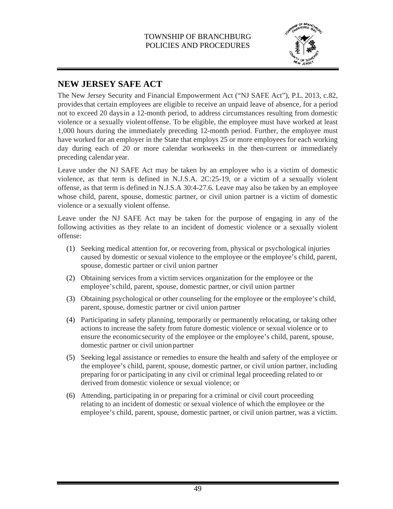

# **NEW JERSEY SAFE ACT**

The New Jersey Security and Financial Empowerment Act ("NJ SAFE Act"), P.L. 2013, c.82, provides that certain employees are eligible to receive an unpaid leave of absence, for a period not to exceed 20 days in a 12-month period, to address circumstances resulting from domestic violence or a sexually violent offense. To be eligible, the employee must have worked at least 1,000 hours during the immediately preceding 12-month period. Further, the employee must have worked for an employer in the State that employs 25 or more employees for each working day during each of 20 or more calendar workweeks in the then-current or immediately preceding calendar year.

Leave under the NJ SAFE Act may be taken by an employee who is a victim of domestic violence, as that term is defined in N.J.S.A. 2C:25-19, or a victim of a sexually violent offense, as that term is defined in N.J.S.A 30:4-27.6. Leave may also be taken by an employee whose child, parent, spouse, domestic partner, or civil union partner is a victim of domestic violence or a sexually violent offense.

Leave under the NJ SAFE Act may be taken for the purpose of engaging in any of the following activities as they relate to an incident of domestic violence or a sexually violent offense:

- (1) Seeking medical attention for, or recovering from, physical or psychological injuries caused by domestic or sexual violence to the employee or the employee's child, parent, spouse, domestic partner or civil union partner
- (2) Obtaining services from a victim services organization for the employee or the employee's child, parent, spouse, domestic partner, or civil union partner
- (3) Obtaining psychological or other counseling for the employee or the employee's child, parent, spouse, domestic partner or civil union partner
- (4) Participating in safety planning, temporarily or permanently relocating, or taking other actions to increase the safety from future domestic violence or sexual violence or to ensure the economic security of the employee or the employee's child, parent, spouse, domestic partner or civil union partner
- (5) Seeking legal assistance or remedies to ensure the health and safety of the employee or the employee's child, parent, spouse, domestic partner, or civil union partner, including preparing for or participating in any civil or criminal legal proceeding related to or derived from domestic violence or sexual violence; or
- (6) Attending, participating in or preparing for a criminal or civil court proceeding relating to an incident of domestic or sexual violence of which the employee or the employee's child, parent, spouse, domestic partner, or civil union partner, was a victim.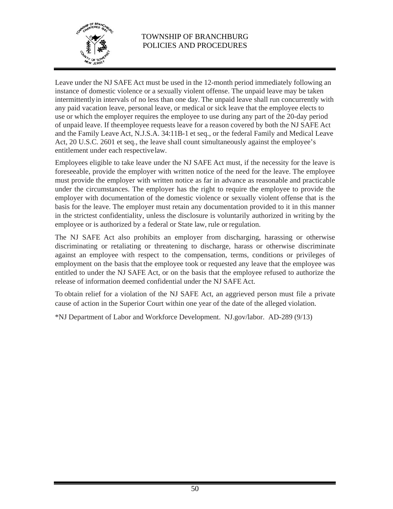

Leave under the NJ SAFE Act must be used in the 12-month period immediately following an instance of domestic violence or a sexually violent offense. The unpaid leave may be taken intermittently in intervals of no less than one day. The unpaid leave shall run concurrently with any paid vacation leave, personal leave, or medical or sick leave that the employee elects to use or which the employer requires the employee to use during any part of the 20-day period of unpaid leave. If the employee requests leave for a reason covered by both the NJ SAFE Act and the Family Leave Act, N.J.S.A. 34:11B-1 et seq., or the federal Family and Medical Leave Act, 20 U.S.C. 2601 et seq., the leave shall count simultaneously against the employee's entitlement under each respective law.

Employees eligible to take leave under the NJ SAFE Act must, if the necessity for the leave is foreseeable, provide the employer with written notice of the need for the leave. The employee must provide the employer with written notice as far in advance as reasonable and practicable under the circumstances. The employer has the right to require the employee to provide the employer with documentation of the domestic violence or sexually violent offense that is the basis for the leave. The employer must retain any documentation provided to it in this manner in the strictest confidentiality, unless the disclosure is voluntarily authorized in writing by the employee or is authorized by a federal or State law, rule or regulation.

The NJ SAFE Act also prohibits an employer from discharging, harassing or otherwise discriminating or retaliating or threatening to discharge, harass or otherwise discriminate against an employee with respect to the compensation, terms, conditions or privileges of employment on the basis that the employee took or requested any leave that the employee was entitled to under the NJ SAFE Act, or on the basis that the employee refused to authorize the release of information deemed confidential under the NJ SAFE Act.

To obtain relief for a violation of the NJ SAFE Act, an aggrieved person must file a private cause of action in the Superior Court within one year of the date of the alleged violation.

\*NJ Department of Labor and Workforce Development. NJ.gov/labor. AD-289 (9/13)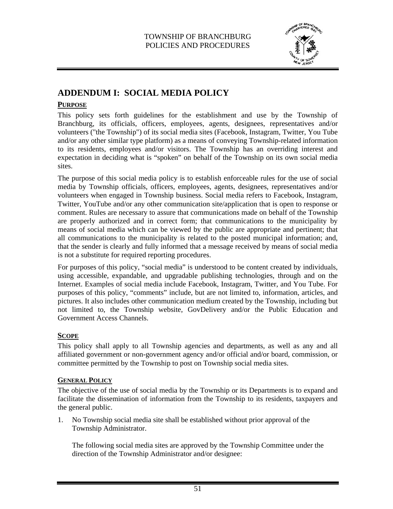

# **ADDENDUM I: SOCIAL MEDIA POLICY**

# **PURPOSE**

This policy sets forth guidelines for the establishment and use by the Township of Branchburg, its officials, officers, employees, agents, designees, representatives and/or volunteers ("the Township") of its social media sites (Facebook, Instagram, Twitter, You Tube and/or any other similar type platform) as a means of conveying Township-related information to its residents, employees and/or visitors. The Township has an overriding interest and expectation in deciding what is "spoken" on behalf of the Township on its own social media sites.

The purpose of this social media policy is to establish enforceable rules for the use of social media by Township officials, officers, employees, agents, designees, representatives and/or volunteers when engaged in Township business. Social media refers to Facebook, Instagram, Twitter, YouTube and/or any other communication site/application that is open to response or comment. Rules are necessary to assure that communications made on behalf of the Township are properly authorized and in correct form; that communications to the municipality by means of social media which can be viewed by the public are appropriate and pertinent; that all communications to the municipality is related to the posted municipal information; and, that the sender is clearly and fully informed that a message received by means of social media is not a substitute for required reporting procedures.

For purposes of this policy, "social media" is understood to be content created by individuals, using accessible, expandable, and upgradable publishing technologies, through and on the Internet. Examples of social media include Facebook, Instagram, Twitter, and You Tube. For purposes of this policy, "comments" include, but are not limited to, information, articles, and pictures. It also includes other communication medium created by the Township, including but not limited to, the Township website, GovDelivery and/or the Public Education and Government Access Channels.

# **SCOPE**

This policy shall apply to all Township agencies and departments, as well as any and all affiliated government or non-government agency and/or official and/or board, commission, or committee permitted by the Township to post on Township social media sites.

### **GENERAL POLICY**

The objective of the use of social media by the Township or its Departments is to expand and facilitate the dissemination of information from the Township to its residents, taxpayers and the general public.

1. No Township social media site shall be established without prior approval of the Township Administrator.

The following social media sites are approved by the Township Committee under the direction of the Township Administrator and/or designee: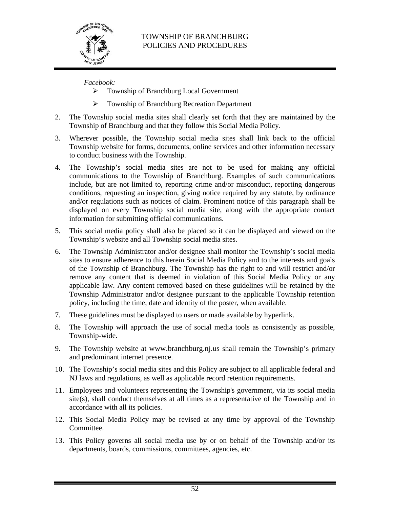

# *Facebook:*

- Township of Branchburg Local Government
- **Township of Branchburg Recreation Department**
- 2. The Township social media sites shall clearly set forth that they are maintained by the Township of Branchburg and that they follow this Social Media Policy.
- 3. Wherever possible, the Township social media sites shall link back to the official Township website for forms, documents, online services and other information necessary to conduct business with the Township.
- 4. The Township's social media sites are not to be used for making any official communications to the Township of Branchburg. Examples of such communications include, but are not limited to, reporting crime and/or misconduct, reporting dangerous conditions, requesting an inspection, giving notice required by any statute, by ordinance and/or regulations such as notices of claim. Prominent notice of this paragraph shall be displayed on every Township social media site, along with the appropriate contact information for submitting official communications.
- 5. This social media policy shall also be placed so it can be displayed and viewed on the Township's website and all Township social media sites.
- 6. The Township Administrator and/or designee shall monitor the Township's social media sites to ensure adherence to this herein Social Media Policy and to the interests and goals of the Township of Branchburg. The Township has the right to and will restrict and/or remove any content that is deemed in violation of this Social Media Policy or any applicable law. Any content removed based on these guidelines will be retained by the Township Administrator and/or designee pursuant to the applicable Township retention policy, including the time, date and identity of the poster, when available.
- 7. These guidelines must be displayed to users or made available by hyperlink.
- 8. The Township will approach the use of social media tools as consistently as possible, Township-wide.
- 9. The Township website at www.branchburg.nj.us shall remain the Township's primary and predominant internet presence.
- 10. The Township's social media sites and this Policy are subject to all applicable federal and NJ laws and regulations, as well as applicable record retention requirements.
- 11. Employees and volunteers representing the Township's government, via its social media site(s), shall conduct themselves at all times as a representative of the Township and in accordance with all its policies.
- 12. This Social Media Policy may be revised at any time by approval of the Township Committee.
- 13. This Policy governs all social media use by or on behalf of the Township and/or its departments, boards, commissions, committees, agencies, etc.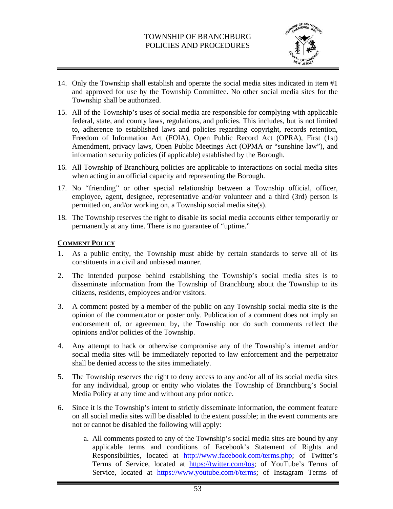

- 14. Only the Township shall establish and operate the social media sites indicated in item #1 and approved for use by the Township Committee. No other social media sites for the Township shall be authorized.
- 15. All of the Township's uses of social media are responsible for complying with applicable federal, state, and county laws, regulations, and policies. This includes, but is not limited to, adherence to established laws and policies regarding copyright, records retention, Freedom of Information Act (FOIA), Open Public Record Act (OPRA), First (1st) Amendment, privacy laws, Open Public Meetings Act (OPMA or "sunshine law"), and information security policies (if applicable) established by the Borough.
- 16. All Township of Branchburg policies are applicable to interactions on social media sites when acting in an official capacity and representing the Borough.
- 17. No "friending" or other special relationship between a Township official, officer, employee, agent, designee, representative and/or volunteer and a third (3rd) person is permitted on, and/or working on, a Township social media site(s).
- 18. The Township reserves the right to disable its social media accounts either temporarily or permanently at any time. There is no guarantee of "uptime."

#### **COMMENT POLICY**

- 1. As a public entity, the Township must abide by certain standards to serve all of its constituents in a civil and unbiased manner.
- 2. The intended purpose behind establishing the Township's social media sites is to disseminate information from the Township of Branchburg about the Township to its citizens, residents, employees and/or visitors.
- 3. A comment posted by a member of the public on any Township social media site is the opinion of the commentator or poster only. Publication of a comment does not imply an endorsement of, or agreement by, the Township nor do such comments reflect the opinions and/or policies of the Township.
- 4. Any attempt to hack or otherwise compromise any of the Township's internet and/or social media sites will be immediately reported to law enforcement and the perpetrator shall be denied access to the sites immediately.
- 5. The Township reserves the right to deny access to any and/or all of its social media sites for any individual, group or entity who violates the Township of Branchburg's Social Media Policy at any time and without any prior notice.
- 6. Since it is the Township's intent to strictly disseminate information, the comment feature on all social media sites will be disabled to the extent possible; in the event comments are not or cannot be disabled the following will apply:
	- a. All comments posted to any of the Township's social media sites are bound by any applicable terms and conditions of Facebook's Statement of Rights and Responsibilities, located at http://www.facebook.com/terms.php; of Twitter's Terms of Service, located at https://twitter.com/tos; of YouTube's Terms of Service, located at https://www.youtube.com/t/terms; of Instagram Terms of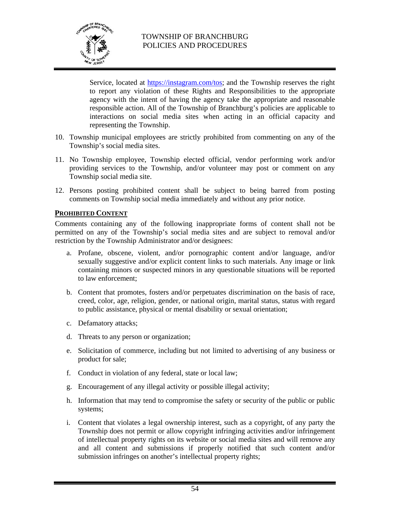

Service, located at https://instagram.com/tos; and the Township reserves the right to report any violation of these Rights and Responsibilities to the appropriate agency with the intent of having the agency take the appropriate and reasonable responsible action. All of the Township of Branchburg's policies are applicable to interactions on social media sites when acting in an official capacity and representing the Township.

- 10. Township municipal employees are strictly prohibited from commenting on any of the Township's social media sites.
- 11. No Township employee, Township elected official, vendor performing work and/or providing services to the Township, and/or volunteer may post or comment on any Township social media site.
- 12. Persons posting prohibited content shall be subject to being barred from posting comments on Township social media immediately and without any prior notice.

#### **PROHIBITED CONTENT**

Comments containing any of the following inappropriate forms of content shall not be permitted on any of the Township's social media sites and are subject to removal and/or restriction by the Township Administrator and/or designees:

- a. Profane, obscene, violent, and/or pornographic content and/or language, and/or sexually suggestive and/or explicit content links to such materials. Any image or link containing minors or suspected minors in any questionable situations will be reported to law enforcement;
- b. Content that promotes, fosters and/or perpetuates discrimination on the basis of race, creed, color, age, religion, gender, or national origin, marital status, status with regard to public assistance, physical or mental disability or sexual orientation;
- c. Defamatory attacks;
- d. Threats to any person or organization;
- e. Solicitation of commerce, including but not limited to advertising of any business or product for sale;
- f. Conduct in violation of any federal, state or local law;
- g. Encouragement of any illegal activity or possible illegal activity;
- h. Information that may tend to compromise the safety or security of the public or public systems;
- i. Content that violates a legal ownership interest, such as a copyright, of any party the Township does not permit or allow copyright infringing activities and/or infringement of intellectual property rights on its website or social media sites and will remove any and all content and submissions if properly notified that such content and/or submission infringes on another's intellectual property rights;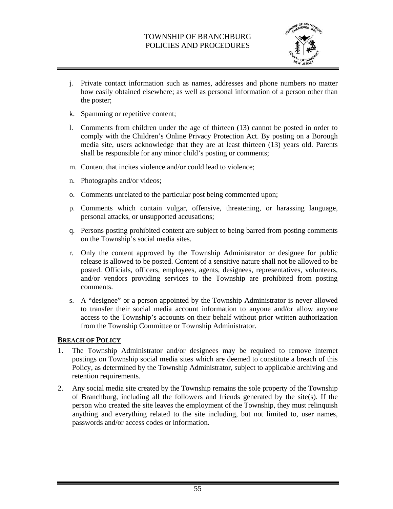

- j. Private contact information such as names, addresses and phone numbers no matter how easily obtained elsewhere; as well as personal information of a person other than the poster;
- k. Spamming or repetitive content;
- l. Comments from children under the age of thirteen (13) cannot be posted in order to comply with the Children's Online Privacy Protection Act. By posting on a Borough media site, users acknowledge that they are at least thirteen (13) years old. Parents shall be responsible for any minor child's posting or comments;
- m. Content that incites violence and/or could lead to violence;
- n. Photographs and/or videos;
- o. Comments unrelated to the particular post being commented upon;
- p. Comments which contain vulgar, offensive, threatening, or harassing language, personal attacks, or unsupported accusations;
- q. Persons posting prohibited content are subject to being barred from posting comments on the Township's social media sites.
- r. Only the content approved by the Township Administrator or designee for public release is allowed to be posted. Content of a sensitive nature shall not be allowed to be posted. Officials, officers, employees, agents, designees, representatives, volunteers, and/or vendors providing services to the Township are prohibited from posting comments.
- s. A "designee" or a person appointed by the Township Administrator is never allowed to transfer their social media account information to anyone and/or allow anyone access to the Township's accounts on their behalf without prior written authorization from the Township Committee or Township Administrator.

#### **BREACH OF POLICY**

- 1. The Township Administrator and/or designees may be required to remove internet postings on Township social media sites which are deemed to constitute a breach of this Policy, as determined by the Township Administrator, subject to applicable archiving and retention requirements.
- 2. Any social media site created by the Township remains the sole property of the Township of Branchburg, including all the followers and friends generated by the site(s). If the person who created the site leaves the employment of the Township, they must relinquish anything and everything related to the site including, but not limited to, user names, passwords and/or access codes or information.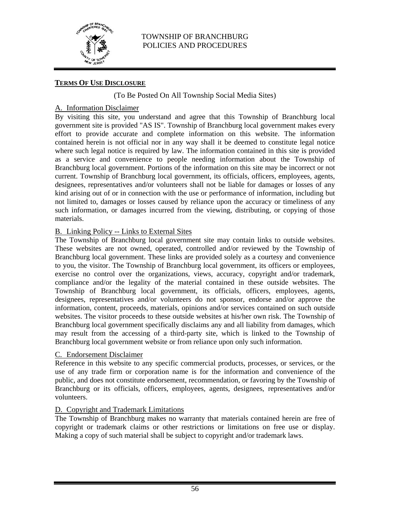

# **TERMS OF USE DISCLOSURE**

### (To Be Posted On All Township Social Media Sites)

# A. Information Disclaimer

By visiting this site, you understand and agree that this Township of Branchburg local government site is provided "AS IS". Township of Branchburg local government makes every effort to provide accurate and complete information on this website. The information contained herein is not official nor in any way shall it be deemed to constitute legal notice where such legal notice is required by law. The information contained in this site is provided as a service and convenience to people needing information about the Township of Branchburg local government. Portions of the information on this site may be incorrect or not current. Township of Branchburg local government, its officials, officers, employees, agents, designees, representatives and/or volunteers shall not be liable for damages or losses of any kind arising out of or in connection with the use or performance of information, including but not limited to, damages or losses caused by reliance upon the accuracy or timeliness of any such information, or damages incurred from the viewing, distributing, or copying of those materials.

### B. Linking Policy -- Links to External Sites

The Township of Branchburg local government site may contain links to outside websites. These websites are not owned, operated, controlled and/or reviewed by the Township of Branchburg local government. These links are provided solely as a courtesy and convenience to you, the visitor. The Township of Branchburg local government, its officers or employees, exercise no control over the organizations, views, accuracy, copyright and/or trademark, compliance and/or the legality of the material contained in these outside websites. The Township of Branchburg local government, its officials, officers, employees, agents, designees, representatives and/or volunteers do not sponsor, endorse and/or approve the information, content, proceeds, materials, opinions and/or services contained on such outside websites. The visitor proceeds to these outside websites at his/her own risk. The Township of Branchburg local government specifically disclaims any and all liability from damages, which may result from the accessing of a third-party site, which is linked to the Township of Branchburg local government website or from reliance upon only such information.

#### C. Endorsement Disclaimer

Reference in this website to any specific commercial products, processes, or services, or the use of any trade firm or corporation name is for the information and convenience of the public, and does not constitute endorsement, recommendation, or favoring by the Township of Branchburg or its officials, officers, employees, agents, designees, representatives and/or volunteers.

### D. Copyright and Trademark Limitations

The Township of Branchburg makes no warranty that materials contained herein are free of copyright or trademark claims or other restrictions or limitations on free use or display. Making a copy of such material shall be subject to copyright and/or trademark laws.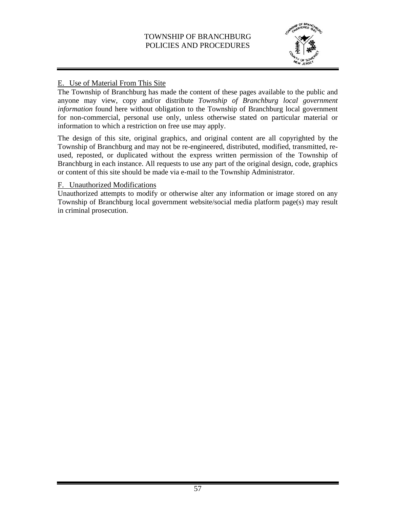

# E. Use of Material From This Site

The Township of Branchburg has made the content of these pages available to the public and anyone may view, copy and/or distribute *Township of Branchburg local government information* found here without obligation to the Township of Branchburg local government for non-commercial, personal use only, unless otherwise stated on particular material or information to which a restriction on free use may apply.

The design of this site, original graphics, and original content are all copyrighted by the Township of Branchburg and may not be re-engineered, distributed, modified, transmitted, reused, reposted, or duplicated without the express written permission of the Township of Branchburg in each instance. All requests to use any part of the original design, code, graphics or content of this site should be made via e-mail to the Township Administrator.

### F. Unauthorized Modifications

Unauthorized attempts to modify or otherwise alter any information or image stored on any Township of Branchburg local government website/social media platform page(s) may result in criminal prosecution.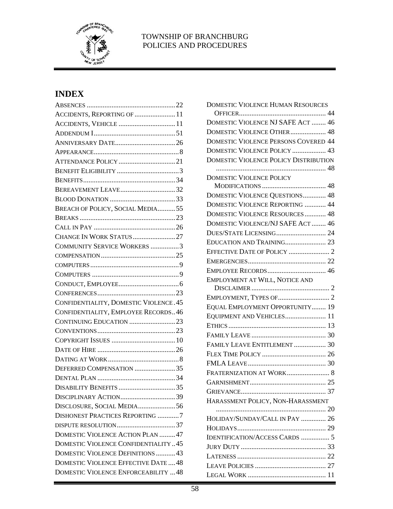

# **INDEX**

| ACCIDENTS, REPORTING OF  11                |  |
|--------------------------------------------|--|
| ACCIDENTS, VEHICLE  11                     |  |
|                                            |  |
|                                            |  |
|                                            |  |
|                                            |  |
|                                            |  |
|                                            |  |
| BEREAVEMENT LEAVE32                        |  |
|                                            |  |
| BREACH OF POLICY, SOCIAL MEDIA55           |  |
|                                            |  |
|                                            |  |
| CHANGE IN WORK STATUS 27                   |  |
| COMMUNITY SERVICE WORKERS 3                |  |
|                                            |  |
|                                            |  |
|                                            |  |
|                                            |  |
|                                            |  |
| CONFIDENTIALITY, DOMESTIC VIOLENCE. 45     |  |
| CONFIDENTIALITY, EMPLOYEE RECORDS46        |  |
| CONTINUING EDUCATION 23                    |  |
|                                            |  |
|                                            |  |
|                                            |  |
|                                            |  |
| DEFERRED COMPENSATION 35                   |  |
|                                            |  |
|                                            |  |
|                                            |  |
| DISCLOSURE, SOCIAL MEDIA56                 |  |
| <b>DISHONEST PRACTICES REPORTING 7</b>     |  |
|                                            |  |
| DOMESTIC VIOLENCE ACTION PLAN  47          |  |
| <b>DOMESTIC VIOLENCE CONFIDENTIALITY45</b> |  |
| DOMESTIC VIOLENCE DEFINITIONS  43          |  |
| DOMESTIC VIOLENCE EFFECTIVE DATE  48       |  |
| DOMESTIC VIOLENCE ENFORCEABILITY  48       |  |
|                                            |  |

| DOMESTIC VIOLENCE HUMAN RESOURCES            |
|----------------------------------------------|
|                                              |
| DOMESTIC VIOLENCE NJ SAFE ACT  46            |
| DOMESTIC VIOLENCE OTHER 48                   |
| <b>DOMESTIC VIOLENCE PERSONS COVERED 44</b>  |
| DOMESTIC VIOLENCE POLICY  43                 |
| <b>DOMESTIC VIOLENCE POLICY DISTRIBUTION</b> |
|                                              |
| <b>DOMESTIC VIOLENCE POLICY</b>              |
|                                              |
| DOMESTIC VIOLENCE QUESTIONS 48               |
| DOMESTIC VIOLENCE REPORTING  44              |
| <b>DOMESTIC VIOLENCE RESOURCES 48</b>        |
| DOMESTIC VIOLENCE/NJ SAFE ACT  46            |
|                                              |
| EDUCATION AND TRAINING 23                    |
|                                              |
|                                              |
|                                              |
| EMPLOYMENT AT WILL, NOTICE AND               |
|                                              |
|                                              |
| EQUAL EMPLOYMENT OPPORTUNITY 19              |
| EQUIPMENT AND VEHICLES 11                    |
|                                              |
|                                              |
| FAMILY LEAVE ENTITLEMENT  30                 |
|                                              |
|                                              |
| FRATERNIZATION AT WORK 8                     |
|                                              |
|                                              |
| HARASSMENT POLICY, NON-HARASSMENT            |
|                                              |
| HOLIDAY/SUNDAY/CALL IN PAY  26               |
|                                              |
| <b>IDENTIFICATION/ACCESS CARDS  5</b>        |
|                                              |
|                                              |
|                                              |
|                                              |